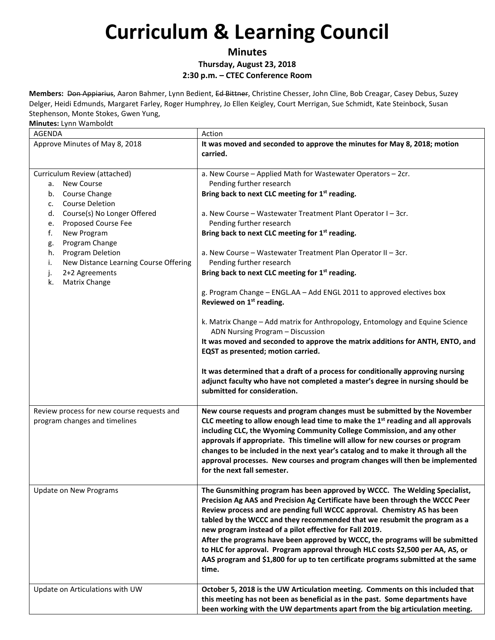### **Minutes Thursday, August 23, 2018 2:30 p.m. – CTEC Conference Room**

**Members:** Don Appiarius, Aaron Bahmer, Lynn Bedient, Ed Bittner, Christine Chesser, John Cline, Bob Creagar, Casey Debus, Suzey Delger, Heidi Edmunds, Margaret Farley, Roger Humphrey, Jo Ellen Keigley, Court Merrigan, Sue Schmidt, Kate Steinbock, Susan Stephenson, Monte Stokes, Gwen Yung,

| <b>AGENDA</b>                                                                                                                                                                                                                                                                                                                                  | Action                                                                                                                                                                                                                                                                                                                                                                                                                                                                                                                                                                                                                                                                                                                                                                                                                                                                                                                                                                                                                                         |
|------------------------------------------------------------------------------------------------------------------------------------------------------------------------------------------------------------------------------------------------------------------------------------------------------------------------------------------------|------------------------------------------------------------------------------------------------------------------------------------------------------------------------------------------------------------------------------------------------------------------------------------------------------------------------------------------------------------------------------------------------------------------------------------------------------------------------------------------------------------------------------------------------------------------------------------------------------------------------------------------------------------------------------------------------------------------------------------------------------------------------------------------------------------------------------------------------------------------------------------------------------------------------------------------------------------------------------------------------------------------------------------------------|
| Approve Minutes of May 8, 2018                                                                                                                                                                                                                                                                                                                 | It was moved and seconded to approve the minutes for May 8, 2018; motion<br>carried.                                                                                                                                                                                                                                                                                                                                                                                                                                                                                                                                                                                                                                                                                                                                                                                                                                                                                                                                                           |
| Curriculum Review (attached)<br><b>New Course</b><br>а.<br>Course Change<br>b.<br>Course Deletion<br>c.<br>Course(s) No Longer Offered<br>d.<br>Proposed Course Fee<br>e.<br>New Program<br>f.<br>Program Change<br>g.<br>Program Deletion<br>h.<br>New Distance Learning Course Offering<br>i.<br>2+2 Agreements<br>j.<br>Matrix Change<br>k. | a. New Course - Applied Math for Wastewater Operators - 2cr.<br>Pending further research<br>Bring back to next CLC meeting for 1 <sup>st</sup> reading.<br>a. New Course - Wastewater Treatment Plant Operator I - 3cr.<br>Pending further research<br>Bring back to next CLC meeting for 1 <sup>st</sup> reading.<br>a. New Course - Wastewater Treatment Plan Operator II - 3cr.<br>Pending further research<br>Bring back to next CLC meeting for 1 <sup>st</sup> reading.<br>g. Program Change - ENGL.AA - Add ENGL 2011 to approved electives box<br>Reviewed on 1 <sup>st</sup> reading.<br>k. Matrix Change - Add matrix for Anthropology, Entomology and Equine Science<br>ADN Nursing Program - Discussion<br>It was moved and seconded to approve the matrix additions for ANTH, ENTO, and<br>EQST as presented; motion carried.<br>It was determined that a draft of a process for conditionally approving nursing<br>adjunct faculty who have not completed a master's degree in nursing should be<br>submitted for consideration. |
| Review process for new course requests and<br>program changes and timelines                                                                                                                                                                                                                                                                    | New course requests and program changes must be submitted by the November<br>CLC meeting to allow enough lead time to make the 1 <sup>st</sup> reading and all approvals<br>including CLC, the Wyoming Community College Commission, and any other<br>approvals if appropriate. This timeline will allow for new courses or program<br>changes to be included in the next year's catalog and to make it through all the<br>approval processes. New courses and program changes will then be implemented<br>for the next fall semester.                                                                                                                                                                                                                                                                                                                                                                                                                                                                                                         |
| Update on New Programs                                                                                                                                                                                                                                                                                                                         | The Gunsmithing program has been approved by WCCC. The Welding Specialist,<br>Precision Ag AAS and Precision Ag Certificate have been through the WCCC Peer<br>Review process and are pending full WCCC approval. Chemistry AS has been<br>tabled by the WCCC and they recommended that we resubmit the program as a<br>new program instead of a pilot effective for Fall 2019.<br>After the programs have been approved by WCCC, the programs will be submitted<br>to HLC for approval. Program approval through HLC costs \$2,500 per AA, AS, or<br>AAS program and \$1,800 for up to ten certificate programs submitted at the same<br>time.                                                                                                                                                                                                                                                                                                                                                                                                |
| Update on Articulations with UW                                                                                                                                                                                                                                                                                                                | October 5, 2018 is the UW Articulation meeting. Comments on this included that<br>this meeting has not been as beneficial as in the past. Some departments have<br>been working with the UW departments apart from the big articulation meeting.                                                                                                                                                                                                                                                                                                                                                                                                                                                                                                                                                                                                                                                                                                                                                                                               |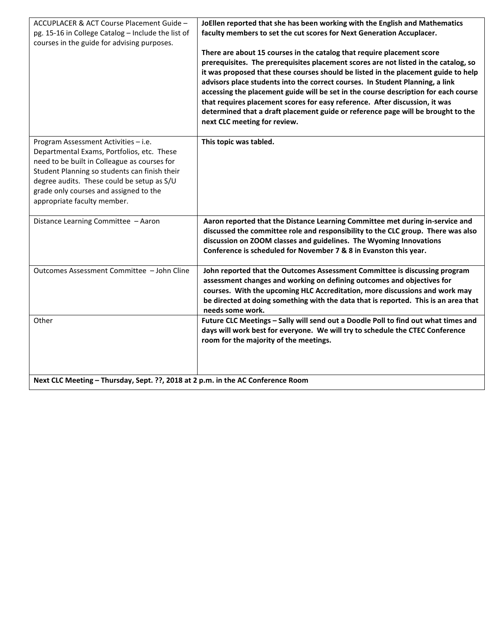| ACCUPLACER & ACT Course Placement Guide -<br>pg. 15-16 in College Catalog - Include the list of<br>courses in the guide for advising purposes.                                                                                                                                                             | JoEllen reported that she has been working with the English and Mathematics<br>faculty members to set the cut scores for Next Generation Accuplacer.<br>There are about 15 courses in the catalog that require placement score<br>prerequisites. The prerequisites placement scores are not listed in the catalog, so<br>it was proposed that these courses should be listed in the placement guide to help<br>advisors place students into the correct courses. In Student Planning, a link<br>accessing the placement guide will be set in the course description for each course<br>that requires placement scores for easy reference. After discussion, it was<br>determined that a draft placement guide or reference page will be brought to the |
|------------------------------------------------------------------------------------------------------------------------------------------------------------------------------------------------------------------------------------------------------------------------------------------------------------|--------------------------------------------------------------------------------------------------------------------------------------------------------------------------------------------------------------------------------------------------------------------------------------------------------------------------------------------------------------------------------------------------------------------------------------------------------------------------------------------------------------------------------------------------------------------------------------------------------------------------------------------------------------------------------------------------------------------------------------------------------|
|                                                                                                                                                                                                                                                                                                            | next CLC meeting for review.                                                                                                                                                                                                                                                                                                                                                                                                                                                                                                                                                                                                                                                                                                                           |
| Program Assessment Activities - i.e.<br>Departmental Exams, Portfolios, etc. These<br>need to be built in Colleague as courses for<br>Student Planning so students can finish their<br>degree audits. These could be setup as S/U<br>grade only courses and assigned to the<br>appropriate faculty member. | This topic was tabled.                                                                                                                                                                                                                                                                                                                                                                                                                                                                                                                                                                                                                                                                                                                                 |
| Distance Learning Committee - Aaron                                                                                                                                                                                                                                                                        | Aaron reported that the Distance Learning Committee met during in-service and<br>discussed the committee role and responsibility to the CLC group. There was also<br>discussion on ZOOM classes and guidelines. The Wyoming Innovations<br>Conference is scheduled for November 7 & 8 in Evanston this year.                                                                                                                                                                                                                                                                                                                                                                                                                                           |
| Outcomes Assessment Committee - John Cline                                                                                                                                                                                                                                                                 | John reported that the Outcomes Assessment Committee is discussing program<br>assessment changes and working on defining outcomes and objectives for<br>courses. With the upcoming HLC Accreditation, more discussions and work may<br>be directed at doing something with the data that is reported. This is an area that<br>needs some work.                                                                                                                                                                                                                                                                                                                                                                                                         |
| Other                                                                                                                                                                                                                                                                                                      | Future CLC Meetings - Sally will send out a Doodle Poll to find out what times and<br>days will work best for everyone. We will try to schedule the CTEC Conference<br>room for the majority of the meetings.                                                                                                                                                                                                                                                                                                                                                                                                                                                                                                                                          |
| Next CLC Meeting - Thursday, Sept. ??, 2018 at 2 p.m. in the AC Conference Room                                                                                                                                                                                                                            |                                                                                                                                                                                                                                                                                                                                                                                                                                                                                                                                                                                                                                                                                                                                                        |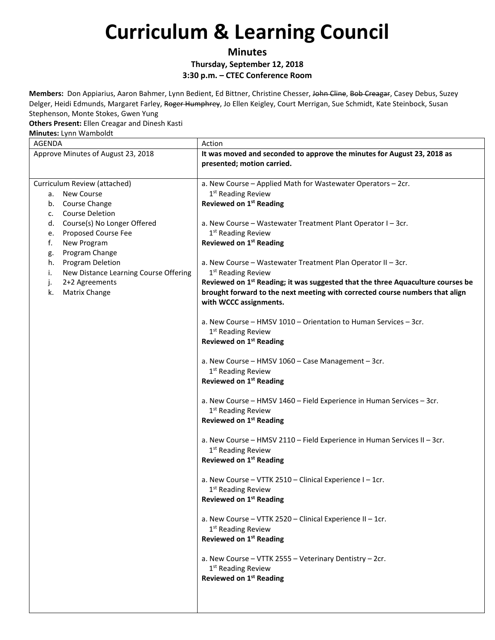**Minutes**

**Thursday, September 12, 2018**

**3:30 p.m. – CTEC Conference Room**

**Members:** Don Appiarius, Aaron Bahmer, Lynn Bedient, Ed Bittner, Christine Chesser, John Cline, Bob Creagar, Casey Debus, Suzey Delger, Heidi Edmunds, Margaret Farley, Roger Humphrey, Jo Ellen Keigley, Court Merrigan, Sue Schmidt, Kate Steinbock, Susan Stephenson, Monte Stokes, Gwen Yung

#### **Others Present:** Ellen Creagar and Dinesh Kasti

| Minutes: Lynn Wamboldt                                                                                                                                                                                                                                                                                                                   |                                                                                                                                                                                                                                                                                                                                                                                                                                                                                                                                                                                                                                                                                                                                                                                                                                                                                                                                                                                                                                                                                                                                                                                                                                                                                                                                                                                                                                                                                                                               |  |
|------------------------------------------------------------------------------------------------------------------------------------------------------------------------------------------------------------------------------------------------------------------------------------------------------------------------------------------|-------------------------------------------------------------------------------------------------------------------------------------------------------------------------------------------------------------------------------------------------------------------------------------------------------------------------------------------------------------------------------------------------------------------------------------------------------------------------------------------------------------------------------------------------------------------------------------------------------------------------------------------------------------------------------------------------------------------------------------------------------------------------------------------------------------------------------------------------------------------------------------------------------------------------------------------------------------------------------------------------------------------------------------------------------------------------------------------------------------------------------------------------------------------------------------------------------------------------------------------------------------------------------------------------------------------------------------------------------------------------------------------------------------------------------------------------------------------------------------------------------------------------------|--|
| <b>AGENDA</b>                                                                                                                                                                                                                                                                                                                            | Action                                                                                                                                                                                                                                                                                                                                                                                                                                                                                                                                                                                                                                                                                                                                                                                                                                                                                                                                                                                                                                                                                                                                                                                                                                                                                                                                                                                                                                                                                                                        |  |
| Approve Minutes of August 23, 2018                                                                                                                                                                                                                                                                                                       | It was moved and seconded to approve the minutes for August 23, 2018 as<br>presented; motion carried.                                                                                                                                                                                                                                                                                                                                                                                                                                                                                                                                                                                                                                                                                                                                                                                                                                                                                                                                                                                                                                                                                                                                                                                                                                                                                                                                                                                                                         |  |
| Curriculum Review (attached)<br>a. New Course<br>b. Course Change<br><b>Course Deletion</b><br>c.<br>Course(s) No Longer Offered<br>d.<br>Proposed Course Fee<br>e.<br>f.<br>New Program<br>Program Change<br>g.<br>Program Deletion<br>h.<br>New Distance Learning Course Offering<br>i.<br>2+2 Agreements<br>j.<br>Matrix Change<br>k. | a. New Course - Applied Math for Wastewater Operators - 2cr.<br>$1st$ Reading Review<br><b>Reviewed on 1st Reading</b><br>a. New Course - Wastewater Treatment Plant Operator I - 3cr.<br>1 <sup>st</sup> Reading Review<br><b>Reviewed on 1st Reading</b><br>a. New Course - Wastewater Treatment Plan Operator II - 3cr.<br>1 <sup>st</sup> Reading Review<br>Reviewed on 1 <sup>st</sup> Reading; it was suggested that the three Aquaculture courses be<br>brought forward to the next meeting with corrected course numbers that align<br>with WCCC assignments.<br>a. New Course - HMSV 1010 - Orientation to Human Services - 3cr.<br>1 <sup>st</sup> Reading Review<br><b>Reviewed on 1st Reading</b><br>a. New Course - HMSV 1060 - Case Management - 3cr.<br>1 <sup>st</sup> Reading Review<br><b>Reviewed on 1st Reading</b><br>a. New Course - HMSV 1460 - Field Experience in Human Services - 3cr.<br>1 <sup>st</sup> Reading Review<br><b>Reviewed on 1st Reading</b><br>a. New Course - HMSV 2110 - Field Experience in Human Services II - 3cr.<br>1 <sup>st</sup> Reading Review<br><b>Reviewed on 1st Reading</b><br>a. New Course - VTTK 2510 - Clinical Experience I - 1cr.<br>1 <sup>st</sup> Reading Review<br><b>Reviewed on 1st Reading</b><br>a. New Course - VTTK 2520 - Clinical Experience II - 1cr.<br>1 <sup>st</sup> Reading Review<br><b>Reviewed on 1st Reading</b><br>a. New Course - VTTK 2555 - Veterinary Dentistry - 2cr.<br>1 <sup>st</sup> Reading Review<br>Reviewed on 1st Reading |  |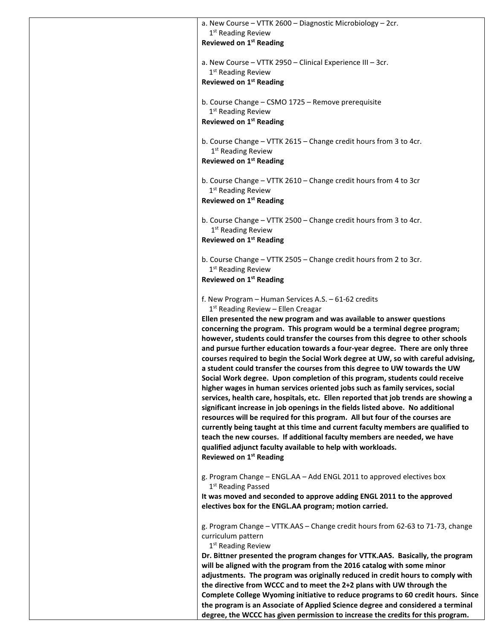| a. New Course - VTTK 2600 - Diagnostic Microbiology - 2cr.<br>1 <sup>st</sup> Reading Review<br><b>Reviewed on 1st Reading</b>                                                                                                                                                                                                                                                                                 |
|----------------------------------------------------------------------------------------------------------------------------------------------------------------------------------------------------------------------------------------------------------------------------------------------------------------------------------------------------------------------------------------------------------------|
| a. New Course - VTTK 2950 - Clinical Experience III - 3cr.                                                                                                                                                                                                                                                                                                                                                     |
| 1 <sup>st</sup> Reading Review<br><b>Reviewed on 1st Reading</b>                                                                                                                                                                                                                                                                                                                                               |
| b. Course Change - CSMO 1725 - Remove prerequisite<br>1 <sup>st</sup> Reading Review<br><b>Reviewed on 1st Reading</b>                                                                                                                                                                                                                                                                                         |
|                                                                                                                                                                                                                                                                                                                                                                                                                |
| b. Course Change - VTTK 2615 - Change credit hours from 3 to 4cr.<br>1 <sup>st</sup> Reading Review<br><b>Reviewed on 1st Reading</b>                                                                                                                                                                                                                                                                          |
| b. Course Change - VTTK 2610 - Change credit hours from 4 to 3cr<br>1 <sup>st</sup> Reading Review                                                                                                                                                                                                                                                                                                             |
| <b>Reviewed on 1st Reading</b>                                                                                                                                                                                                                                                                                                                                                                                 |
| b. Course Change - VTTK 2500 - Change credit hours from 3 to 4cr.<br>1 <sup>st</sup> Reading Review                                                                                                                                                                                                                                                                                                            |
| Reviewed on 1 <sup>st</sup> Reading                                                                                                                                                                                                                                                                                                                                                                            |
| b. Course Change - VTTK 2505 - Change credit hours from 2 to 3cr.<br>1 <sup>st</sup> Reading Review                                                                                                                                                                                                                                                                                                            |
| <b>Reviewed on 1st Reading</b>                                                                                                                                                                                                                                                                                                                                                                                 |
| f. New Program - Human Services A.S. - 61-62 credits<br>$1st$ Reading Review – Ellen Creagar<br>Ellen presented the new program and was available to answer questions                                                                                                                                                                                                                                          |
| concerning the program. This program would be a terminal degree program;<br>however, students could transfer the courses from this degree to other schools<br>and pursue further education towards a four-year degree. There are only three<br>courses required to begin the Social Work degree at UW, so with careful advising,<br>a student could transfer the courses from this degree to UW towards the UW |
| Social Work degree. Upon completion of this program, students could receive<br>higher wages in human services oriented jobs such as family services, social<br>services, health care, hospitals, etc. Ellen reported that job trends are showing a<br>significant increase in job openings in the fields listed above. No additional                                                                           |
| resources will be required for this program. All but four of the courses are<br>currently being taught at this time and current faculty members are qualified to<br>teach the new courses. If additional faculty members are needed, we have<br>qualified adjunct faculty available to help with workloads.<br>Reviewed on 1 <sup>st</sup> Reading                                                             |
| g. Program Change - ENGL.AA - Add ENGL 2011 to approved electives box                                                                                                                                                                                                                                                                                                                                          |
| 1 <sup>st</sup> Reading Passed<br>It was moved and seconded to approve adding ENGL 2011 to the approved<br>electives box for the ENGL.AA program; motion carried.                                                                                                                                                                                                                                              |
| g. Program Change - VTTK.AAS - Change credit hours from 62-63 to 71-73, change<br>curriculum pattern<br>1 <sup>st</sup> Reading Review                                                                                                                                                                                                                                                                         |
| Dr. Bittner presented the program changes for VTTK.AAS. Basically, the program<br>will be aligned with the program from the 2016 catalog with some minor<br>adjustments. The program was originally reduced in credit hours to comply with<br>the directive from WCCC and to meet the 2+2 plans with UW through the<br>Complete College Wyoming initiative to reduce programs to 60 credit hours. Since        |
| the program is an Associate of Applied Science degree and considered a terminal<br>degree, the WCCC has given permission to increase the credits for this program.                                                                                                                                                                                                                                             |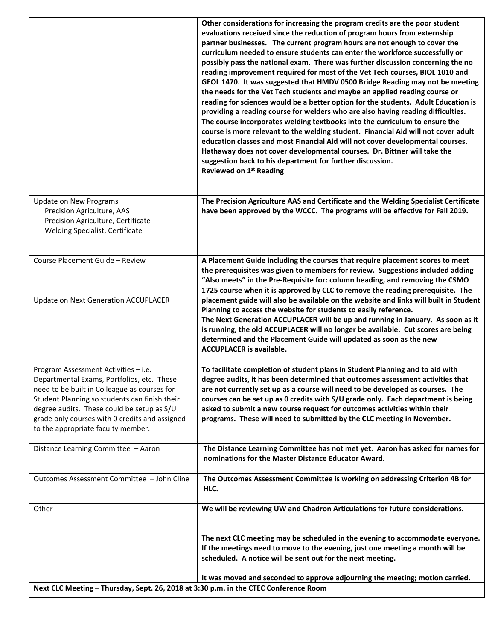|                                                                                                                                                                                                                                                                                                                           | evaluations received since the reduction of program hours from externship<br>partner businesses. The current program hours are not enough to cover the<br>curriculum needed to ensure students can enter the workforce successfully or<br>possibly pass the national exam. There was further discussion concerning the no                                                                                                                                                                                                                                                                                                                                                                                                                                                                                                                                   |
|---------------------------------------------------------------------------------------------------------------------------------------------------------------------------------------------------------------------------------------------------------------------------------------------------------------------------|-------------------------------------------------------------------------------------------------------------------------------------------------------------------------------------------------------------------------------------------------------------------------------------------------------------------------------------------------------------------------------------------------------------------------------------------------------------------------------------------------------------------------------------------------------------------------------------------------------------------------------------------------------------------------------------------------------------------------------------------------------------------------------------------------------------------------------------------------------------|
|                                                                                                                                                                                                                                                                                                                           | reading improvement required for most of the Vet Tech courses, BIOL 1010 and<br>GEOL 1470. It was suggested that HMDV 0500 Bridge Reading may not be meeting<br>the needs for the Vet Tech students and maybe an applied reading course or<br>reading for sciences would be a better option for the students. Adult Education is<br>providing a reading course for welders who are also having reading difficulties.<br>The course incorporates welding textbooks into the curriculum to ensure the<br>course is more relevant to the welding student. Financial Aid will not cover adult<br>education classes and most Financial Aid will not cover developmental courses.<br>Hathaway does not cover developmental courses. Dr. Bittner will take the<br>suggestion back to his department for further discussion.<br>Reviewed on 1 <sup>st</sup> Reading |
| <b>Update on New Programs</b><br>Precision Agriculture, AAS<br>Precision Agriculture, Certificate<br>Welding Specialist, Certificate                                                                                                                                                                                      | The Precision Agriculture AAS and Certificate and the Welding Specialist Certificate<br>have been approved by the WCCC. The programs will be effective for Fall 2019.                                                                                                                                                                                                                                                                                                                                                                                                                                                                                                                                                                                                                                                                                       |
| Course Placement Guide - Review                                                                                                                                                                                                                                                                                           | A Placement Guide including the courses that require placement scores to meet<br>the prerequisites was given to members for review. Suggestions included adding<br>"Also meets" in the Pre-Requisite for: column heading, and removing the CSMO<br>1725 course when it is approved by CLC to remove the reading prerequisite. The                                                                                                                                                                                                                                                                                                                                                                                                                                                                                                                           |
| <b>Update on Next Generation ACCUPLACER</b>                                                                                                                                                                                                                                                                               | placement guide will also be available on the website and links will built in Student<br>Planning to access the website for students to easily reference.<br>The Next Generation ACCUPLACER will be up and running in January. As soon as it<br>is running, the old ACCUPLACER will no longer be available. Cut scores are being<br>determined and the Placement Guide will updated as soon as the new<br><b>ACCUPLACER is available.</b>                                                                                                                                                                                                                                                                                                                                                                                                                   |
| Program Assessment Activities - i.e.<br>Departmental Exams, Portfolios, etc. These<br>need to be built in Colleague as courses for<br>Student Planning so students can finish their<br>degree audits. These could be setup as S/U<br>grade only courses with 0 credits and assigned<br>to the appropriate faculty member. | To facilitate completion of student plans in Student Planning and to aid with<br>degree audits, it has been determined that outcomes assessment activities that<br>are not currently set up as a course will need to be developed as courses. The<br>courses can be set up as 0 credits with S/U grade only. Each department is being<br>asked to submit a new course request for outcomes activities within their<br>programs. These will need to submitted by the CLC meeting in November.                                                                                                                                                                                                                                                                                                                                                                |
| Distance Learning Committee - Aaron                                                                                                                                                                                                                                                                                       | The Distance Learning Committee has not met yet. Aaron has asked for names for<br>nominations for the Master Distance Educator Award.                                                                                                                                                                                                                                                                                                                                                                                                                                                                                                                                                                                                                                                                                                                       |
| Outcomes Assessment Committee - John Cline                                                                                                                                                                                                                                                                                | The Outcomes Assessment Committee is working on addressing Criterion 4B for<br>HLC.                                                                                                                                                                                                                                                                                                                                                                                                                                                                                                                                                                                                                                                                                                                                                                         |
| Other                                                                                                                                                                                                                                                                                                                     | We will be reviewing UW and Chadron Articulations for future considerations.                                                                                                                                                                                                                                                                                                                                                                                                                                                                                                                                                                                                                                                                                                                                                                                |
|                                                                                                                                                                                                                                                                                                                           | The next CLC meeting may be scheduled in the evening to accommodate everyone.<br>If the meetings need to move to the evening, just one meeting a month will be<br>scheduled. A notice will be sent out for the next meeting.                                                                                                                                                                                                                                                                                                                                                                                                                                                                                                                                                                                                                                |
| Next CLC Meeting - Thursday, Sept. 26, 2018 at 3:30 p.m. in the CTEC Conference Room                                                                                                                                                                                                                                      | It was moved and seconded to approve adjourning the meeting; motion carried.                                                                                                                                                                                                                                                                                                                                                                                                                                                                                                                                                                                                                                                                                                                                                                                |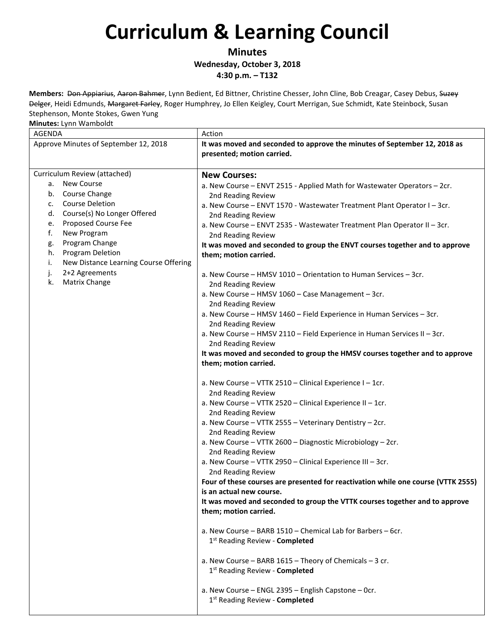**Minutes**

**Wednesday, October 3, 2018**

**4:30 p.m. – T132**

**Members:** Don Appiarius, Aaron Bahmer, Lynn Bedient, Ed Bittner, Christine Chesser, John Cline, Bob Creagar, Casey Debus, Suzey Delger, Heidi Edmunds, Margaret Farley, Roger Humphrey, Jo Ellen Keigley, Court Merrigan, Sue Schmidt, Kate Steinbock, Susan Stephenson, Monte Stokes, Gwen Yung

| <b>AGENDA</b>                               | Action                                                                                                  |
|---------------------------------------------|---------------------------------------------------------------------------------------------------------|
| Approve Minutes of September 12, 2018       | It was moved and seconded to approve the minutes of September 12, 2018 as<br>presented; motion carried. |
| Curriculum Review (attached)                | <b>New Courses:</b>                                                                                     |
| New Course<br>а.                            | a. New Course - ENVT 2515 - Applied Math for Wastewater Operators - 2cr.                                |
| b. Course Change                            | 2nd Reading Review                                                                                      |
| <b>Course Deletion</b><br>c.                | a. New Course - ENVT 1570 - Wastewater Treatment Plant Operator I - 3cr.                                |
| Course(s) No Longer Offered<br>d.           | 2nd Reading Review                                                                                      |
| Proposed Course Fee<br>e.                   | a. New Course - ENVT 2535 - Wastewater Treatment Plan Operator II - 3cr.                                |
| f.<br>New Program                           | 2nd Reading Review                                                                                      |
| Program Change<br>g.                        | It was moved and seconded to group the ENVT courses together and to approve                             |
| Program Deletion<br>h.                      | them; motion carried.                                                                                   |
| New Distance Learning Course Offering<br>i. |                                                                                                         |
| 2+2 Agreements<br>j.                        | a. New Course - HMSV 1010 - Orientation to Human Services - 3cr.                                        |
| Matrix Change<br>k.                         | 2nd Reading Review                                                                                      |
|                                             | a. New Course - HMSV 1060 - Case Management - 3cr.                                                      |
|                                             | 2nd Reading Review                                                                                      |
|                                             | a. New Course - HMSV 1460 - Field Experience in Human Services - 3cr.                                   |
|                                             | 2nd Reading Review                                                                                      |
|                                             | a. New Course - HMSV 2110 - Field Experience in Human Services II - 3cr.                                |
|                                             | 2nd Reading Review                                                                                      |
|                                             | It was moved and seconded to group the HMSV courses together and to approve                             |
|                                             | them; motion carried.                                                                                   |
|                                             |                                                                                                         |
|                                             | a. New Course - VTTK 2510 - Clinical Experience I - 1cr.                                                |
|                                             | 2nd Reading Review                                                                                      |
|                                             | a. New Course - VTTK 2520 - Clinical Experience II - 1cr.                                               |
|                                             | 2nd Reading Review                                                                                      |
|                                             | a. New Course - VTTK 2555 - Veterinary Dentistry - 2cr.                                                 |
|                                             | 2nd Reading Review                                                                                      |
|                                             | a. New Course - VTTK 2600 - Diagnostic Microbiology - 2cr.                                              |
|                                             | 2nd Reading Review                                                                                      |
|                                             | a. New Course - VTTK 2950 - Clinical Experience III - 3cr.                                              |
|                                             | 2nd Reading Review                                                                                      |
|                                             | Four of these courses are presented for reactivation while one course (VTTK 2555)                       |
|                                             | is an actual new course.                                                                                |
|                                             | It was moved and seconded to group the VTTK courses together and to approve                             |
|                                             | them; motion carried.                                                                                   |
|                                             |                                                                                                         |
|                                             | a. New Course - BARB 1510 - Chemical Lab for Barbers - 6cr.                                             |
|                                             | 1 <sup>st</sup> Reading Review - <b>Completed</b>                                                       |
|                                             |                                                                                                         |
|                                             | a. New Course - BARB $1615$ - Theory of Chemicals - 3 cr.                                               |
|                                             | 1st Reading Review - Completed                                                                          |
|                                             |                                                                                                         |
|                                             | a. New Course - ENGL 2395 - English Capstone - Ocr.                                                     |
|                                             | 1st Reading Review - Completed                                                                          |
|                                             |                                                                                                         |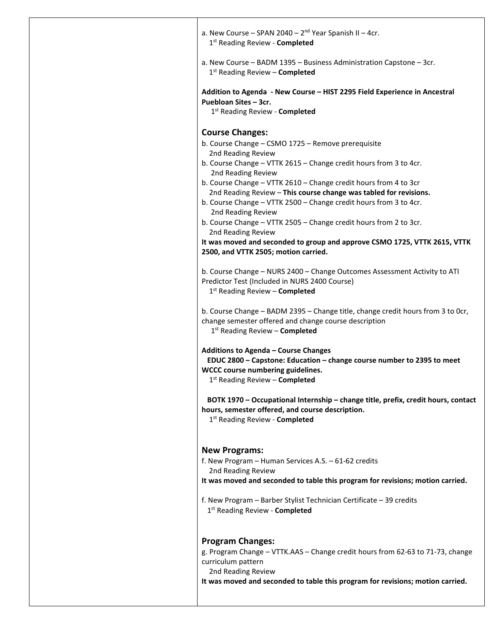|                                          | a. New Course - SPAN 2040 - $2nd$ Year Spanish II - 4cr.<br>1st Reading Review - Completed                                                                                                    |  |
|------------------------------------------|-----------------------------------------------------------------------------------------------------------------------------------------------------------------------------------------------|--|
|                                          | a. New Course - BADM 1395 - Business Administration Capstone - 3cr.<br>$1st$ Reading Review – Completed                                                                                       |  |
| Puebloan Sites - 3cr.                    | Addition to Agenda - New Course - HIST 2295 Field Experience in Ancestral<br>1st Reading Review - Completed                                                                                   |  |
| <b>Course Changes:</b>                   |                                                                                                                                                                                               |  |
| 2nd Reading Review                       | b. Course Change - CSMO 1725 - Remove prerequisite                                                                                                                                            |  |
| 2nd Reading Review                       | b. Course Change - VTTK 2615 - Change credit hours from 3 to 4cr.                                                                                                                             |  |
|                                          | b. Course Change - VTTK 2610 - Change credit hours from 4 to 3cr                                                                                                                              |  |
|                                          | 2nd Reading Review - This course change was tabled for revisions.<br>b. Course Change - VTTK 2500 - Change credit hours from 3 to 4cr.                                                        |  |
| 2nd Reading Review                       |                                                                                                                                                                                               |  |
| 2nd Reading Review                       | b. Course Change - VTTK 2505 - Change credit hours from 2 to 3cr.                                                                                                                             |  |
|                                          | It was moved and seconded to group and approve CSMO 1725, VTTK 2615, VTTK<br>2500, and VTTK 2505; motion carried.                                                                             |  |
|                                          | b. Course Change - NURS 2400 - Change Outcomes Assessment Activity to ATI<br>Predictor Test (Included in NURS 2400 Course)<br>1st Reading Review - Completed                                  |  |
|                                          | b. Course Change - BADM 2395 - Change title, change credit hours from 3 to Ocr,<br>change semester offered and change course description<br>1 <sup>st</sup> Reading Review - <b>Completed</b> |  |
|                                          | Additions to Agenda – Course Changes<br>EDUC 2800 - Capstone: Education - change course number to 2395 to meet<br>WCCC course numbering guidelines.<br>$1st$ Reading Review – Completed       |  |
|                                          | BOTK 1970 - Occupational Internship - change title, prefix, credit hours, contact<br>hours, semester offered, and course description.<br>1st Reading Review - Completed                       |  |
| <b>New Programs:</b>                     |                                                                                                                                                                                               |  |
| 2nd Reading Review                       | f. New Program - Human Services A.S. - 61-62 credits                                                                                                                                          |  |
|                                          | It was moved and seconded to table this program for revisions; motion carried.                                                                                                                |  |
|                                          | f. New Program - Barber Stylist Technician Certificate - 39 credits<br>1 <sup>st</sup> Reading Review - <b>Completed</b>                                                                      |  |
| <b>Program Changes:</b>                  |                                                                                                                                                                                               |  |
|                                          | g. Program Change - VTTK.AAS - Change credit hours from 62-63 to 71-73, change                                                                                                                |  |
| curriculum pattern<br>2nd Reading Review |                                                                                                                                                                                               |  |
|                                          |                                                                                                                                                                                               |  |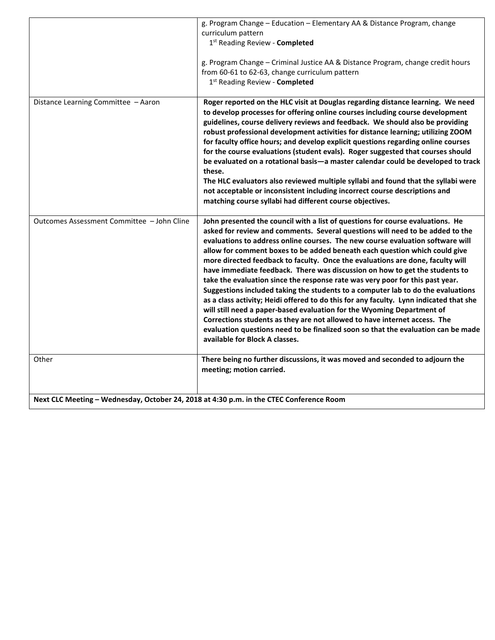|                                                                                         | g. Program Change - Education - Elementary AA & Distance Program, change<br>curriculum pattern<br>1st Reading Review - Completed<br>g. Program Change - Criminal Justice AA & Distance Program, change credit hours<br>from 60-61 to 62-63, change curriculum pattern<br>1 <sup>st</sup> Reading Review - Completed                                                                                                                                                                                                                                                                                                                                                                                                                                                                                                                                                                                                                                                                                                                           |
|-----------------------------------------------------------------------------------------|-----------------------------------------------------------------------------------------------------------------------------------------------------------------------------------------------------------------------------------------------------------------------------------------------------------------------------------------------------------------------------------------------------------------------------------------------------------------------------------------------------------------------------------------------------------------------------------------------------------------------------------------------------------------------------------------------------------------------------------------------------------------------------------------------------------------------------------------------------------------------------------------------------------------------------------------------------------------------------------------------------------------------------------------------|
| Distance Learning Committee - Aaron                                                     | Roger reported on the HLC visit at Douglas regarding distance learning. We need<br>to develop processes for offering online courses including course development<br>guidelines, course delivery reviews and feedback. We should also be providing<br>robust professional development activities for distance learning; utilizing ZOOM<br>for faculty office hours; and develop explicit questions regarding online courses<br>for the course evaluations (student evals). Roger suggested that courses should<br>be evaluated on a rotational basis-a master calendar could be developed to track<br>these.<br>The HLC evaluators also reviewed multiple syllabi and found that the syllabi were<br>not acceptable or inconsistent including incorrect course descriptions and<br>matching course syllabi had different course objectives.                                                                                                                                                                                                    |
| Outcomes Assessment Committee - John Cline                                              | John presented the council with a list of questions for course evaluations. He<br>asked for review and comments. Several questions will need to be added to the<br>evaluations to address online courses. The new course evaluation software will<br>allow for comment boxes to be added beneath each question which could give<br>more directed feedback to faculty. Once the evaluations are done, faculty will<br>have immediate feedback. There was discussion on how to get the students to<br>take the evaluation since the response rate was very poor for this past year.<br>Suggestions included taking the students to a computer lab to do the evaluations<br>as a class activity; Heidi offered to do this for any faculty. Lynn indicated that she<br>will still need a paper-based evaluation for the Wyoming Department of<br>Corrections students as they are not allowed to have internet access. The<br>evaluation questions need to be finalized soon so that the evaluation can be made<br>available for Block A classes. |
| Other                                                                                   | There being no further discussions, it was moved and seconded to adjourn the<br>meeting; motion carried.                                                                                                                                                                                                                                                                                                                                                                                                                                                                                                                                                                                                                                                                                                                                                                                                                                                                                                                                      |
| Next CLC Meeting - Wednesday, October 24, 2018 at 4:30 p.m. in the CTEC Conference Room |                                                                                                                                                                                                                                                                                                                                                                                                                                                                                                                                                                                                                                                                                                                                                                                                                                                                                                                                                                                                                                               |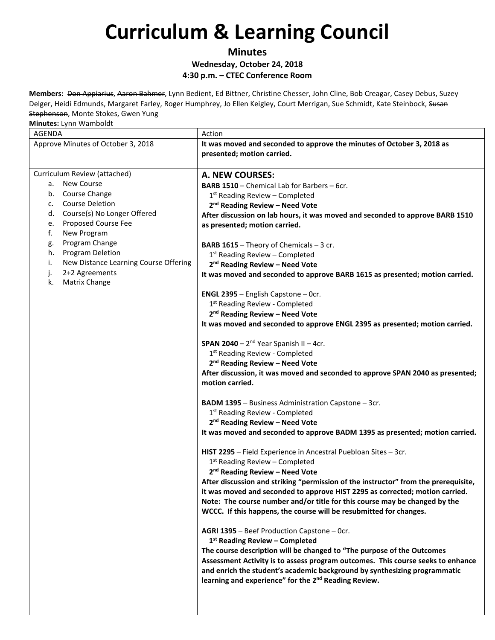**Minutes Wednesday, October 24, 2018**

**4:30 p.m. – CTEC Conference Room**

**Members:** Don Appiarius, Aaron Bahmer, Lynn Bedient, Ed Bittner, Christine Chesser, John Cline, Bob Creagar, Casey Debus, Suzey Delger, Heidi Edmunds, Margaret Farley, Roger Humphrey, Jo Ellen Keigley, Court Merrigan, Sue Schmidt, Kate Steinbock, Susan Stephenson, Monte Stokes, Gwen Yung

| - . - ,<br><b>AGENDA</b>                                                                                                                                                                                                                                                                                                                           | Action                                                                                                                                                                                                                                                                                                                                                                                                                                                                                                                                                                                                                                                                                                                                                                                                                                                                                                                                                                                                                                                                                                                                                                                                                                                                                                                                                                                                                                                                                                                                                                                                                                                                                                                                                                                                                                                                                                                                                                                                                                                                                |
|----------------------------------------------------------------------------------------------------------------------------------------------------------------------------------------------------------------------------------------------------------------------------------------------------------------------------------------------------|---------------------------------------------------------------------------------------------------------------------------------------------------------------------------------------------------------------------------------------------------------------------------------------------------------------------------------------------------------------------------------------------------------------------------------------------------------------------------------------------------------------------------------------------------------------------------------------------------------------------------------------------------------------------------------------------------------------------------------------------------------------------------------------------------------------------------------------------------------------------------------------------------------------------------------------------------------------------------------------------------------------------------------------------------------------------------------------------------------------------------------------------------------------------------------------------------------------------------------------------------------------------------------------------------------------------------------------------------------------------------------------------------------------------------------------------------------------------------------------------------------------------------------------------------------------------------------------------------------------------------------------------------------------------------------------------------------------------------------------------------------------------------------------------------------------------------------------------------------------------------------------------------------------------------------------------------------------------------------------------------------------------------------------------------------------------------------------|
| Approve Minutes of October 3, 2018                                                                                                                                                                                                                                                                                                                 | It was moved and seconded to approve the minutes of October 3, 2018 as<br>presented; motion carried.                                                                                                                                                                                                                                                                                                                                                                                                                                                                                                                                                                                                                                                                                                                                                                                                                                                                                                                                                                                                                                                                                                                                                                                                                                                                                                                                                                                                                                                                                                                                                                                                                                                                                                                                                                                                                                                                                                                                                                                  |
| Curriculum Review (attached)<br><b>New Course</b><br>а.<br>b. Course Change<br><b>Course Deletion</b><br>c.<br>Course(s) No Longer Offered<br>d.<br>Proposed Course Fee<br>е.<br>f.<br>New Program<br>Program Change<br>g.<br>Program Deletion<br>h.<br>New Distance Learning Course Offering<br>i.<br>2+2 Agreements<br>j.<br>Matrix Change<br>k. | <b>A. NEW COURSES:</b><br><b>BARB 1510</b> - Chemical Lab for Barbers - 6cr.<br>$1st$ Reading Review – Completed<br>2 <sup>nd</sup> Reading Review - Need Vote<br>After discussion on lab hours, it was moved and seconded to approve BARB 1510<br>as presented; motion carried.<br><b>BARB 1615</b> - Theory of Chemicals $-3$ cr.<br>1st Reading Review - Completed<br>2 <sup>nd</sup> Reading Review - Need Vote<br>It was moved and seconded to approve BARB 1615 as presented; motion carried.<br><b>ENGL 2395</b> - English Capstone - Ocr.<br>1st Reading Review - Completed<br>2 <sup>nd</sup> Reading Review - Need Vote<br>It was moved and seconded to approve ENGL 2395 as presented; motion carried.<br><b>SPAN 2040</b> - $2^{nd}$ Year Spanish II - 4cr.<br>1st Reading Review - Completed<br>2 <sup>nd</sup> Reading Review - Need Vote<br>After discussion, it was moved and seconded to approve SPAN 2040 as presented;<br>motion carried.<br><b>BADM 1395</b> - Business Administration Capstone - 3cr.<br>1 <sup>st</sup> Reading Review - Completed<br>2 <sup>nd</sup> Reading Review - Need Vote<br>It was moved and seconded to approve BADM 1395 as presented; motion carried.<br>HIST 2295 - Field Experience in Ancestral Puebloan Sites - 3cr.<br>1st Reading Review - Completed<br>2 <sup>nd</sup> Reading Review - Need Vote<br>After discussion and striking "permission of the instructor" from the prerequisite,<br>it was moved and seconded to approve HIST 2295 as corrected; motion carried.<br>Note: The course number and/or title for this course may be changed by the<br>WCCC. If this happens, the course will be resubmitted for changes.<br>AGRI 1395 - Beef Production Capstone - Ocr.<br>$1st$ Reading Review – Completed<br>The course description will be changed to "The purpose of the Outcomes<br>Assessment Activity is to assess program outcomes. This course seeks to enhance<br>and enrich the student's academic background by synthesizing programmatic<br>learning and experience" for the 2 <sup>nd</sup> Reading Review. |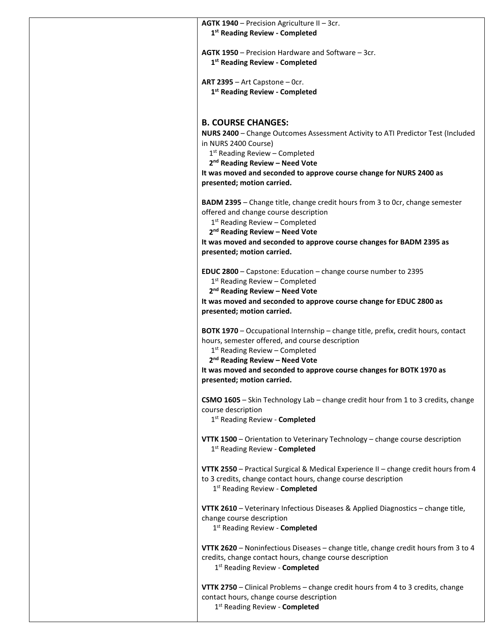| AGTK 1940 - Precision Agriculture II - 3cr.<br>1 <sup>st</sup> Reading Review - Completed                                                      |
|------------------------------------------------------------------------------------------------------------------------------------------------|
| <b>AGTK 1950</b> – Precision Hardware and Software – 3cr.<br>1 <sup>st</sup> Reading Review - Completed                                        |
| ART 2395 - Art Capstone - Ocr.<br>1st Reading Review - Completed                                                                               |
|                                                                                                                                                |
| <b>B. COURSE CHANGES:</b>                                                                                                                      |
| NURS 2400 - Change Outcomes Assessment Activity to ATI Predictor Test (Included<br>in NURS 2400 Course)                                        |
| 1 <sup>st</sup> Reading Review - Completed                                                                                                     |
| 2 <sup>nd</sup> Reading Review - Need Vote                                                                                                     |
| It was moved and seconded to approve course change for NURS 2400 as<br>presented; motion carried.                                              |
| <b>BADM 2395</b> – Change title, change credit hours from 3 to 0cr, change semester                                                            |
| offered and change course description                                                                                                          |
| 1 <sup>st</sup> Reading Review - Completed<br>2 <sup>nd</sup> Reading Review - Need Vote                                                       |
| It was moved and seconded to approve course changes for BADM 2395 as                                                                           |
| presented; motion carried.                                                                                                                     |
| EDUC 2800 - Capstone: Education - change course number to 2395                                                                                 |
| $1st$ Reading Review – Completed                                                                                                               |
| 2 <sup>nd</sup> Reading Review - Need Vote                                                                                                     |
| It was moved and seconded to approve course change for EDUC 2800 as<br>presented; motion carried.                                              |
| <b>BOTK 1970</b> – Occupational Internship – change title, prefix, credit hours, contact                                                       |
| hours, semester offered, and course description                                                                                                |
| $1st$ Reading Review – Completed<br>2 <sup>nd</sup> Reading Review - Need Vote                                                                 |
| It was moved and seconded to approve course changes for BOTK 1970 as<br>presented; motion carried.                                             |
| CSMO 1605 - Skin Technology Lab - change credit hour from 1 to 3 credits, change                                                               |
| course description<br>1st Reading Review - Completed                                                                                           |
| VTTK 1500 - Orientation to Veterinary Technology - change course description                                                                   |
| 1 <sup>st</sup> Reading Review - <b>Completed</b>                                                                                              |
| VTTK 2550 - Practical Surgical & Medical Experience II - change credit hours from 4                                                            |
| to 3 credits, change contact hours, change course description<br>1st Reading Review - Completed                                                |
| VTTK 2610 - Veterinary Infectious Diseases & Applied Diagnostics - change title,                                                               |
| change course description<br>1st Reading Review - Completed                                                                                    |
| VTTK 2620 - Noninfectious Diseases - change title, change credit hours from 3 to 4<br>credits, change contact hours, change course description |
| 1 <sup>st</sup> Reading Review - Completed                                                                                                     |
| <b>VTTK 2750</b> – Clinical Problems – change credit hours from 4 to 3 credits, change<br>contact hours, change course description             |
| 1 <sup>st</sup> Reading Review - <b>Completed</b>                                                                                              |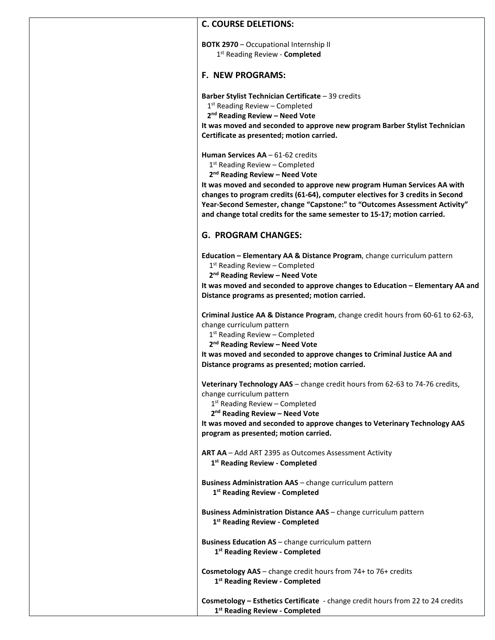#### **C. COURSE DELETIONS:**

**BOTK 2970** – Occupational Internship II 1st Reading Review - **Completed**

#### **F. NEW PROGRAMS:**

**Barber Stylist Technician Certificate** – 39 credits

1<sup>st</sup> Reading Review – Completed

**2nd Reading Review – Need Vote**

**It was moved and seconded to approve new program Barber Stylist Technician Certificate as presented; motion carried.**

**Human Services AA** – 61-62 credits

1<sup>st</sup> Reading Review - Completed

**2nd Reading Review – Need Vote**

**It was moved and seconded to approve new program Human Services AA with changes to program credits (61-64), computer electives for 3 credits in Second Year-Second Semester, change "Capstone:" to "Outcomes Assessment Activity" and change total credits for the same semester to 15-17; motion carried.**

### **G. PROGRAM CHANGES:**

**Education – Elementary AA & Distance Program**, change curriculum pattern

1<sup>st</sup> Reading Review - Completed

**2nd Reading Review – Need Vote**

**It was moved and seconded to approve changes to Education – Elementary AA and Distance programs as presented; motion carried.**

**Criminal Justice AA & Distance Program**, change credit hours from 60-61 to 62-63, change curriculum pattern

 $1<sup>st</sup>$  Reading Review – Completed

**2nd Reading Review – Need Vote**

**It was moved and seconded to approve changes to Criminal Justice AA and Distance programs as presented; motion carried.**

**Veterinary Technology AAS** – change credit hours from 62-63 to 74-76 credits, change curriculum pattern

1<sup>st</sup> Reading Review - Completed

**2nd Reading Review – Need Vote**

**It was moved and seconded to approve changes to Veterinary Technology AAS program as presented; motion carried.**

**ART AA** – Add ART 2395 as Outcomes Assessment Activity **1st Reading Review - Completed**

**Business Administration AAS** – change curriculum pattern **1st Reading Review - Completed**

**Business Administration Distance AAS** – change curriculum pattern **1st Reading Review - Completed**

**Business Education AS** – change curriculum pattern **1st Reading Review - Completed**

**Cosmetology AAS** – change credit hours from 74+ to 76+ credits **1st Reading Review - Completed**

**Cosmetology – Esthetics Certificate** - change credit hours from 22 to 24 credits **1st Reading Review - Completed**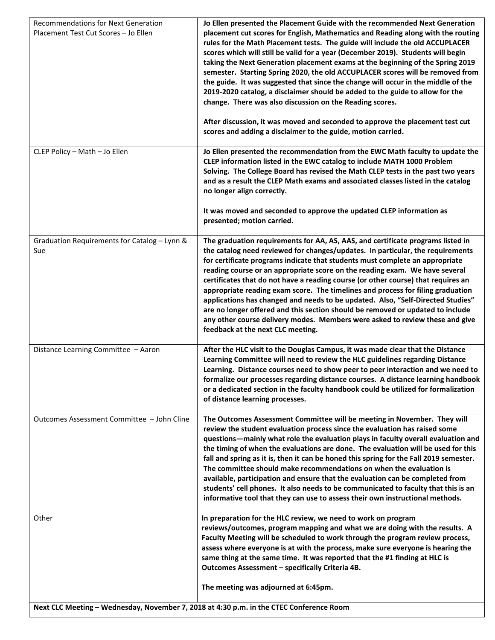| <b>Recommendations for Next Generation</b><br>Placement Test Cut Scores - Jo Ellen      | Jo Ellen presented the Placement Guide with the recommended Next Generation<br>placement cut scores for English, Mathematics and Reading along with the routing<br>rules for the Math Placement tests. The guide will include the old ACCUPLACER<br>scores which will still be valid for a year (December 2019). Students will begin<br>taking the Next Generation placement exams at the beginning of the Spring 2019<br>semester. Starting Spring 2020, the old ACCUPLACER scores will be removed from<br>the guide. It was suggested that since the change will occur in the middle of the<br>2019-2020 catalog, a disclaimer should be added to the guide to allow for the<br>change. There was also discussion on the Reading scores.<br>After discussion, it was moved and seconded to approve the placement test cut<br>scores and adding a disclaimer to the guide, motion carried. |
|-----------------------------------------------------------------------------------------|---------------------------------------------------------------------------------------------------------------------------------------------------------------------------------------------------------------------------------------------------------------------------------------------------------------------------------------------------------------------------------------------------------------------------------------------------------------------------------------------------------------------------------------------------------------------------------------------------------------------------------------------------------------------------------------------------------------------------------------------------------------------------------------------------------------------------------------------------------------------------------------------|
| CLEP Policy - Math - Jo Ellen                                                           | Jo Ellen presented the recommendation from the EWC Math faculty to update the<br>CLEP information listed in the EWC catalog to include MATH 1000 Problem<br>Solving. The College Board has revised the Math CLEP tests in the past two years<br>and as a result the CLEP Math exams and associated classes listed in the catalog<br>no longer align correctly.<br>It was moved and seconded to approve the updated CLEP information as<br>presented; motion carried.                                                                                                                                                                                                                                                                                                                                                                                                                        |
| Graduation Requirements for Catalog - Lynn &<br>Sue                                     | The graduation requirements for AA, AS, AAS, and certificate programs listed in<br>the catalog need reviewed for changes/updates. In particular, the requirements<br>for certificate programs indicate that students must complete an appropriate<br>reading course or an appropriate score on the reading exam. We have several<br>certificates that do not have a reading course (or other course) that requires an<br>appropriate reading exam score. The timelines and process for filing graduation<br>applications has changed and needs to be updated. Also, "Self-Directed Studies"<br>are no longer offered and this section should be removed or updated to include<br>any other course delivery modes. Members were asked to review these and give<br>feedback at the next CLC meeting.                                                                                          |
| Distance Learning Committee - Aaron                                                     | After the HLC visit to the Douglas Campus, it was made clear that the Distance<br>Learning Committee will need to review the HLC guidelines regarding Distance<br>Learning. Distance courses need to show peer to peer interaction and we need to<br>formalize our processes regarding distance courses. A distance learning handbook<br>or a dedicated section in the faculty handbook could be utilized for formalization<br>of distance learning processes.                                                                                                                                                                                                                                                                                                                                                                                                                              |
| Outcomes Assessment Committee - John Cline                                              | The Outcomes Assessment Committee will be meeting in November. They will<br>review the student evaluation process since the evaluation has raised some<br>questions-mainly what role the evaluation plays in faculty overall evaluation and<br>the timing of when the evaluations are done. The evaluation will be used for this<br>fall and spring as it is, then it can be honed this spring for the Fall 2019 semester.<br>The committee should make recommendations on when the evaluation is<br>available, participation and ensure that the evaluation can be completed from<br>students' cell phones. It also needs to be communicated to faculty that this is an<br>informative tool that they can use to assess their own instructional methods.                                                                                                                                   |
| Other                                                                                   | In preparation for the HLC review, we need to work on program<br>reviews/outcomes, program mapping and what we are doing with the results. A<br>Faculty Meeting will be scheduled to work through the program review process,<br>assess where everyone is at with the process, make sure everyone is hearing the<br>same thing at the same time. It was reported that the #1 finding at HLC is<br>Outcomes Assessment - specifically Criteria 4B.                                                                                                                                                                                                                                                                                                                                                                                                                                           |
| Next CLC Meeting - Wednesday, November 7, 2018 at 4:30 p.m. in the CTEC Conference Room | The meeting was adjourned at 6:45pm.                                                                                                                                                                                                                                                                                                                                                                                                                                                                                                                                                                                                                                                                                                                                                                                                                                                        |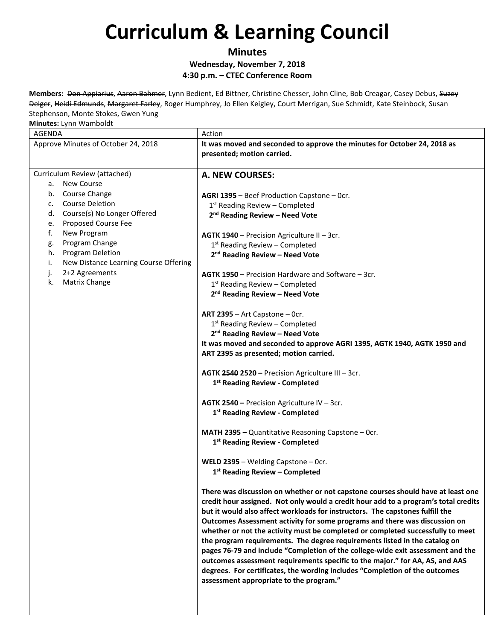**Minutes Wednesday, November 7, 2018 4:30 p.m. – CTEC Conference Room**

**Members:** Don Appiarius, Aaron Bahmer, Lynn Bedient, Ed Bittner, Christine Chesser, John Cline, Bob Creagar, Casey Debus, Suzey Delger, Heidi Edmunds, Margaret Farley, Roger Humphrey, Jo Ellen Keigley, Court Merrigan, Sue Schmidt, Kate Steinbock, Susan Stephenson, Monte Stokes, Gwen Yung

| *************************************       |                                                                                                        |
|---------------------------------------------|--------------------------------------------------------------------------------------------------------|
| AGENDA                                      | Action                                                                                                 |
| Approve Minutes of October 24, 2018         | It was moved and seconded to approve the minutes for October 24, 2018 as<br>presented; motion carried. |
| Curriculum Review (attached)                | A. NEW COURSES:                                                                                        |
| New Course<br>а.                            |                                                                                                        |
| b. Course Change                            |                                                                                                        |
| <b>Course Deletion</b><br>C.                | AGRI 1395 - Beef Production Capstone - Ocr.                                                            |
| Course(s) No Longer Offered<br>d.           | $1st$ Reading Review – Completed                                                                       |
| Proposed Course Fee<br>е.                   | 2 <sup>nd</sup> Reading Review - Need Vote                                                             |
| f.<br>New Program                           |                                                                                                        |
| Program Change<br>g.                        | AGTK 1940 - Precision Agriculture II - 3cr.                                                            |
| Program Deletion<br>h.                      | 1 <sup>st</sup> Reading Review - Completed                                                             |
| New Distance Learning Course Offering<br>i. | 2 <sup>nd</sup> Reading Review - Need Vote                                                             |
| 2+2 Agreements<br>j.                        |                                                                                                        |
| Matrix Change<br>k.                         | <b>AGTK 1950</b> – Precision Hardware and Software – 3cr.                                              |
|                                             | 1 <sup>st</sup> Reading Review - Completed                                                             |
|                                             | 2 <sup>nd</sup> Reading Review - Need Vote                                                             |
|                                             |                                                                                                        |
|                                             | ART 2395 - Art Capstone - Ocr.                                                                         |
|                                             | 1 <sup>st</sup> Reading Review - Completed<br>2 <sup>nd</sup> Reading Review - Need Vote               |
|                                             |                                                                                                        |
|                                             | It was moved and seconded to approve AGRI 1395, AGTK 1940, AGTK 1950 and                               |
|                                             | ART 2395 as presented; motion carried.                                                                 |
|                                             | AGTK 2540 2520 - Precision Agriculture III - 3cr.                                                      |
|                                             | 1 <sup>st</sup> Reading Review - Completed                                                             |
|                                             |                                                                                                        |
|                                             | AGTK 2540 - Precision Agriculture IV - 3cr.                                                            |
|                                             | 1st Reading Review - Completed                                                                         |
|                                             |                                                                                                        |
|                                             | MATH 2395 - Quantitative Reasoning Capstone - Ocr.                                                     |
|                                             | 1 <sup>st</sup> Reading Review - Completed                                                             |
|                                             |                                                                                                        |
|                                             | WELD 2395 - Welding Capstone - Ocr.                                                                    |
|                                             | $1st$ Reading Review – Completed                                                                       |
|                                             |                                                                                                        |
|                                             | There was discussion on whether or not capstone courses should have at least one                       |
|                                             | credit hour assigned. Not only would a credit hour add to a program's total credits                    |
|                                             | but it would also affect workloads for instructors. The capstones fulfill the                          |
|                                             | Outcomes Assessment activity for some programs and there was discussion on                             |
|                                             | whether or not the activity must be completed or completed successfully to meet                        |
|                                             | the program requirements. The degree requirements listed in the catalog on                             |
|                                             | pages 76-79 and include "Completion of the college-wide exit assessment and the                        |
|                                             | outcomes assessment requirements specific to the major." for AA, AS, and AAS                           |
|                                             | degrees. For certificates, the wording includes "Completion of the outcomes                            |
|                                             | assessment appropriate to the program."                                                                |
|                                             |                                                                                                        |
|                                             |                                                                                                        |
|                                             |                                                                                                        |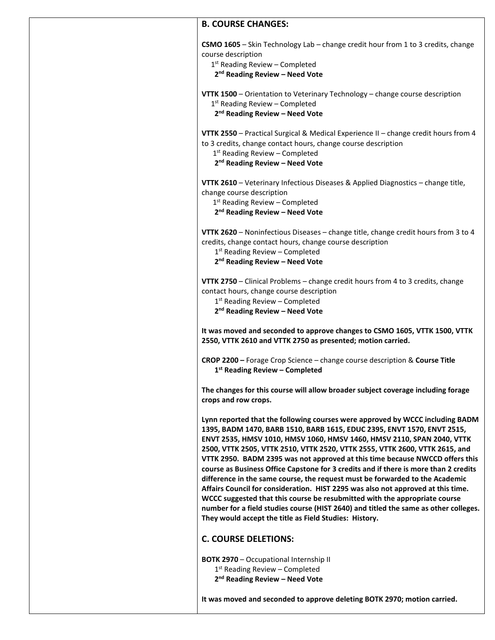### **B. COURSE CHANGES:**

| CSMO 1605 - Skin Technology Lab - change credit hour from 1 to 3 credits, change<br>course description<br>1st Reading Review - Completed<br>2 <sup>nd</sup> Reading Review - Need Vote                                                                                                                                                                                                                                                                                                                                                                                                                                                                                                                                                                                                                                                                                                        |  |
|-----------------------------------------------------------------------------------------------------------------------------------------------------------------------------------------------------------------------------------------------------------------------------------------------------------------------------------------------------------------------------------------------------------------------------------------------------------------------------------------------------------------------------------------------------------------------------------------------------------------------------------------------------------------------------------------------------------------------------------------------------------------------------------------------------------------------------------------------------------------------------------------------|--|
| <b>VTTK 1500</b> - Orientation to Veterinary Technology - change course description<br>1 <sup>st</sup> Reading Review - Completed<br>2 <sup>nd</sup> Reading Review - Need Vote                                                                                                                                                                                                                                                                                                                                                                                                                                                                                                                                                                                                                                                                                                               |  |
| VTTK 2550 - Practical Surgical & Medical Experience II - change credit hours from 4<br>to 3 credits, change contact hours, change course description<br>$1st$ Reading Review – Completed<br>2 <sup>nd</sup> Reading Review - Need Vote                                                                                                                                                                                                                                                                                                                                                                                                                                                                                                                                                                                                                                                        |  |
| VTTK 2610 - Veterinary Infectious Diseases & Applied Diagnostics - change title,<br>change course description<br>1 <sup>st</sup> Reading Review - Completed<br>2 <sup>nd</sup> Reading Review - Need Vote                                                                                                                                                                                                                                                                                                                                                                                                                                                                                                                                                                                                                                                                                     |  |
| VTTK 2620 - Noninfectious Diseases - change title, change credit hours from 3 to 4<br>credits, change contact hours, change course description<br>$1st$ Reading Review – Completed<br>2 <sup>nd</sup> Reading Review - Need Vote                                                                                                                                                                                                                                                                                                                                                                                                                                                                                                                                                                                                                                                              |  |
| VTTK 2750 - Clinical Problems - change credit hours from 4 to 3 credits, change<br>contact hours, change course description<br>$1st$ Reading Review – Completed<br>2 <sup>nd</sup> Reading Review - Need Vote                                                                                                                                                                                                                                                                                                                                                                                                                                                                                                                                                                                                                                                                                 |  |
| It was moved and seconded to approve changes to CSMO 1605, VTTK 1500, VTTK<br>2550, VTTK 2610 and VTTK 2750 as presented; motion carried.                                                                                                                                                                                                                                                                                                                                                                                                                                                                                                                                                                                                                                                                                                                                                     |  |
| <b>CROP 2200</b> - Forage Crop Science - change course description & Course Title<br>1 <sup>st</sup> Reading Review - Completed                                                                                                                                                                                                                                                                                                                                                                                                                                                                                                                                                                                                                                                                                                                                                               |  |
| The changes for this course will allow broader subject coverage including forage<br>crops and row crops.                                                                                                                                                                                                                                                                                                                                                                                                                                                                                                                                                                                                                                                                                                                                                                                      |  |
| Lynn reported that the following courses were approved by WCCC including BADM<br>1395, BADM 1470, BARB 1510, BARB 1615, EDUC 2395, ENVT 1570, ENVT 2515,<br>ENVT 2535, HMSV 1010, HMSV 1060, HMSV 1460, HMSV 2110, SPAN 2040, VTTK<br>2500, VTTK 2505, VTTK 2510, VTTK 2520, VTTK 2555, VTTK 2600, VTTK 2615, and<br>VTTK 2950. BADM 2395 was not approved at this time because NWCCD offers this<br>course as Business Office Capstone for 3 credits and if there is more than 2 credits<br>difference in the same course, the request must be forwarded to the Academic<br>Affairs Council for consideration. HIST 2295 was also not approved at this time.<br>WCCC suggested that this course be resubmitted with the appropriate course<br>number for a field studies course (HIST 2640) and titled the same as other colleges.<br>They would accept the title as Field Studies: History. |  |
| <b>C. COURSE DELETIONS:</b>                                                                                                                                                                                                                                                                                                                                                                                                                                                                                                                                                                                                                                                                                                                                                                                                                                                                   |  |
| <b>BOTK 2970</b> - Occupational Internship II<br>$1st$ Reading Review – Completed<br>2 <sup>nd</sup> Reading Review - Need Vote                                                                                                                                                                                                                                                                                                                                                                                                                                                                                                                                                                                                                                                                                                                                                               |  |
| It was moved and seconded to approve deleting BOTK 2970; motion carried.                                                                                                                                                                                                                                                                                                                                                                                                                                                                                                                                                                                                                                                                                                                                                                                                                      |  |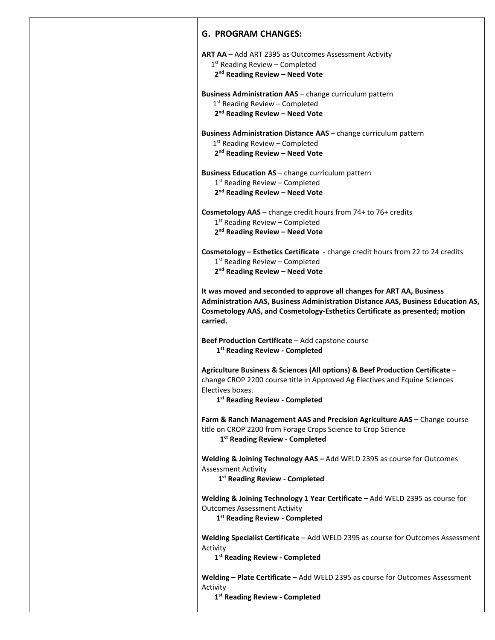**ART AA** – Add ART 2395 as Outcomes Assessment Activity 1<sup>st</sup> Reading Review - Completed **2nd Reading Review – Need Vote Business Administration AAS** – change curriculum pattern  $1<sup>st</sup>$  Reading Review – Completed **2nd Reading Review – Need Vote Business Administration Distance AAS** – change curriculum pattern  $1<sup>st</sup>$  Reading Review – Completed **2nd Reading Review – Need Vote Business Education AS** – change curriculum pattern  $1<sup>st</sup>$  Reading Review – Completed **2nd Reading Review – Need Vote Cosmetology AAS** – change credit hours from 74+ to 76+ credits 1<sup>st</sup> Reading Review – Completed **2nd Reading Review – Need Vote Cosmetology – Esthetics Certificate** - change credit hours from 22 to 24 credits  $1<sup>st</sup>$  Reading Review – Completed **2nd Reading Review – Need Vote It was moved and seconded to approve all changes for ART AA, Business Administration AAS, Business Administration Distance AAS, Business Education AS, Cosmetology AAS, and Cosmetology-Esthetics Certificate as presented; motion carried. Beef Production Certificate** – Add capstone course **1st Reading Review - Completed Agriculture Business & Sciences (All options) & Beef Production Certificate** – change CROP 2200 course title in Approved Ag Electives and Equine Sciences Electives boxes. **1st Reading Review - Completed Farm & Ranch Management AAS and Precision Agriculture AAS –** Change course title on CROP 2200 from Forage Crops Science to Crop Science **1st Reading Review - Completed Welding & Joining Technology AAS –** Add WELD 2395 as course for Outcomes Assessment Activity **1st Reading Review - Completed Welding & Joining Technology 1 Year Certificate –** Add WELD 2395 as course for Outcomes Assessment Activity **1st Reading Review - Completed Welding Specialist Certificate** – Add WELD 2395 as course for Outcomes Assessment Activity **1st Reading Review - Completed Welding – Plate Certificate** – Add WELD 2395 as course for Outcomes Assessment Activity

**1st Reading Review - Completed**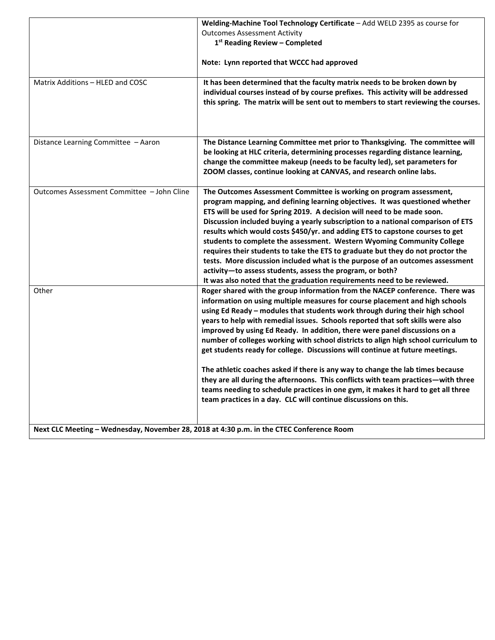|                                                                                          | Welding-Machine Tool Technology Certificate - Add WELD 2395 as course for                                                                                                                                                                                                                                                                                                                                                                                                                                                                                                                                                                                                                                                                                                                                                                                                                                            |  |
|------------------------------------------------------------------------------------------|----------------------------------------------------------------------------------------------------------------------------------------------------------------------------------------------------------------------------------------------------------------------------------------------------------------------------------------------------------------------------------------------------------------------------------------------------------------------------------------------------------------------------------------------------------------------------------------------------------------------------------------------------------------------------------------------------------------------------------------------------------------------------------------------------------------------------------------------------------------------------------------------------------------------|--|
|                                                                                          | <b>Outcomes Assessment Activity</b>                                                                                                                                                                                                                                                                                                                                                                                                                                                                                                                                                                                                                                                                                                                                                                                                                                                                                  |  |
|                                                                                          | 1st Reading Review - Completed                                                                                                                                                                                                                                                                                                                                                                                                                                                                                                                                                                                                                                                                                                                                                                                                                                                                                       |  |
|                                                                                          | Note: Lynn reported that WCCC had approved                                                                                                                                                                                                                                                                                                                                                                                                                                                                                                                                                                                                                                                                                                                                                                                                                                                                           |  |
| Matrix Additions - HLED and COSC                                                         | It has been determined that the faculty matrix needs to be broken down by<br>individual courses instead of by course prefixes. This activity will be addressed<br>this spring. The matrix will be sent out to members to start reviewing the courses.                                                                                                                                                                                                                                                                                                                                                                                                                                                                                                                                                                                                                                                                |  |
| Distance Learning Committee - Aaron                                                      | The Distance Learning Committee met prior to Thanksgiving. The committee will<br>be looking at HLC criteria, determining processes regarding distance learning,<br>change the committee makeup (needs to be faculty led), set parameters for<br>ZOOM classes, continue looking at CANVAS, and research online labs.                                                                                                                                                                                                                                                                                                                                                                                                                                                                                                                                                                                                  |  |
| Outcomes Assessment Committee - John Cline                                               | The Outcomes Assessment Committee is working on program assessment,<br>program mapping, and defining learning objectives. It was questioned whether<br>ETS will be used for Spring 2019. A decision will need to be made soon.<br>Discussion included buying a yearly subscription to a national comparison of ETS<br>results which would costs \$450/yr. and adding ETS to capstone courses to get<br>students to complete the assessment. Western Wyoming Community College<br>requires their students to take the ETS to graduate but they do not proctor the<br>tests. More discussion included what is the purpose of an outcomes assessment<br>activity-to assess students, assess the program, or both?<br>It was also noted that the graduation requirements need to be reviewed.                                                                                                                            |  |
| Other                                                                                    | Roger shared with the group information from the NACEP conference. There was<br>information on using multiple measures for course placement and high schools<br>using Ed Ready - modules that students work through during their high school<br>years to help with remedial issues. Schools reported that soft skills were also<br>improved by using Ed Ready. In addition, there were panel discussions on a<br>number of colleges working with school districts to align high school curriculum to<br>get students ready for college. Discussions will continue at future meetings.<br>The athletic coaches asked if there is any way to change the lab times because<br>they are all during the afternoons. This conflicts with team practices—with three<br>teams needing to schedule practices in one gym, it makes it hard to get all three<br>team practices in a day. CLC will continue discussions on this. |  |
| Next CLC Meeting - Wednesday, November 28, 2018 at 4:30 p.m. in the CTEC Conference Room |                                                                                                                                                                                                                                                                                                                                                                                                                                                                                                                                                                                                                                                                                                                                                                                                                                                                                                                      |  |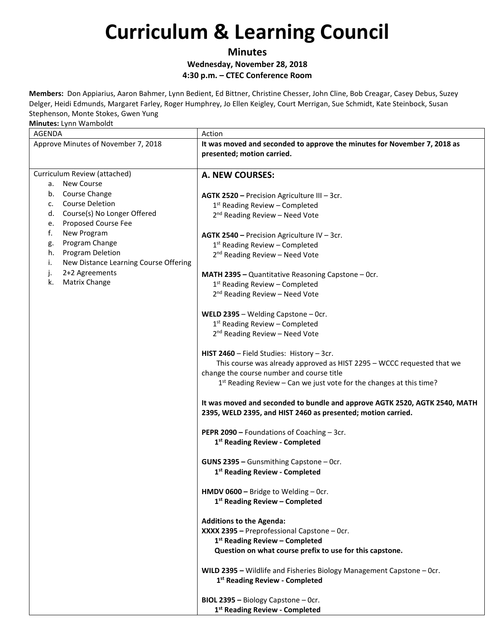**Minutes Wednesday, November 28, 2018 4:30 p.m. – CTEC Conference Room**

**Members:** Don Appiarius, Aaron Bahmer, Lynn Bedient, Ed Bittner, Christine Chesser, John Cline, Bob Creagar, Casey Debus, Suzey Delger, Heidi Edmunds, Margaret Farley, Roger Humphrey, Jo Ellen Keigley, Court Merrigan, Sue Schmidt, Kate Steinbock, Susan Stephenson, Monte Stokes, Gwen Yung

| AGENDA                                      | Action                                                                     |
|---------------------------------------------|----------------------------------------------------------------------------|
| Approve Minutes of November 7, 2018         | It was moved and seconded to approve the minutes for November 7, 2018 as   |
|                                             | presented; motion carried.                                                 |
|                                             |                                                                            |
| Curriculum Review (attached)                | <b>A. NEW COURSES:</b>                                                     |
| a. New Course                               |                                                                            |
| b. Course Change                            | AGTK 2520 - Precision Agriculture III - 3cr.                               |
| <b>Course Deletion</b><br>C.                | $1st$ Reading Review – Completed                                           |
| d. Course(s) No Longer Offered              | 2 <sup>nd</sup> Reading Review - Need Vote                                 |
| Proposed Course Fee<br>e.                   |                                                                            |
| f.<br>New Program                           | AGTK 2540 - Precision Agriculture IV - 3cr.                                |
| Program Change<br>g.                        | 1st Reading Review - Completed                                             |
| h.<br><b>Program Deletion</b>               | 2 <sup>nd</sup> Reading Review - Need Vote                                 |
| i.<br>New Distance Learning Course Offering |                                                                            |
| 2+2 Agreements<br>j.                        | MATH 2395 - Quantitative Reasoning Capstone - Ocr.                         |
| Matrix Change<br>k.                         | $1st$ Reading Review – Completed                                           |
|                                             | 2 <sup>nd</sup> Reading Review - Need Vote                                 |
|                                             |                                                                            |
|                                             | WELD 2395 - Welding Capstone - Ocr.                                        |
|                                             | 1 <sup>st</sup> Reading Review - Completed                                 |
|                                             | 2 <sup>nd</sup> Reading Review - Need Vote                                 |
|                                             |                                                                            |
|                                             | HIST 2460 - Field Studies: History - 3cr.                                  |
|                                             | This course was already approved as HIST 2295 - WCCC requested that we     |
|                                             | change the course number and course title                                  |
|                                             | $1st$ Reading Review – Can we just vote for the changes at this time?      |
|                                             | It was moved and seconded to bundle and approve AGTK 2520, AGTK 2540, MATH |
|                                             | 2395, WELD 2395, and HIST 2460 as presented; motion carried.               |
|                                             | PEPR 2090 - Foundations of Coaching - 3cr.                                 |
|                                             | 1 <sup>st</sup> Reading Review - Completed                                 |
|                                             |                                                                            |
|                                             | GUNS 2395 - Gunsmithing Capstone - Ocr.                                    |
|                                             | 1st Reading Review - Completed                                             |
|                                             |                                                                            |
|                                             | HMDV 0600 - Bridge to Welding - Ocr.                                       |
|                                             | 1 <sup>st</sup> Reading Review - Completed                                 |
|                                             |                                                                            |
|                                             | <b>Additions to the Agenda:</b>                                            |
|                                             | XXXX 2395 - Preprofessional Capstone - Ocr.                                |
|                                             | 1st Reading Review - Completed                                             |
|                                             | Question on what course prefix to use for this capstone.                   |
|                                             |                                                                            |
|                                             | WILD 2395 - Wildlife and Fisheries Biology Management Capstone - Ocr.      |
|                                             | 1 <sup>st</sup> Reading Review - Completed                                 |
|                                             | BIOL 2395 - Biology Capstone - Ocr.                                        |
|                                             |                                                                            |
|                                             | 1 <sup>st</sup> Reading Review - Completed                                 |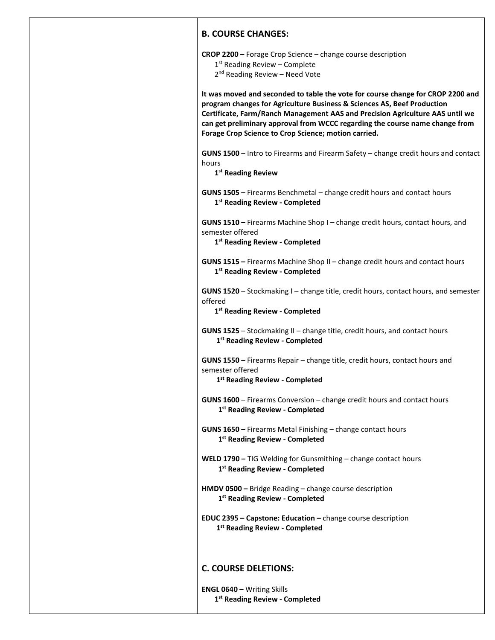### **B. COURSE CHANGES:**

**CROP 2200 –** Forage Crop Science – change course description

 $1<sup>st</sup>$  Reading Review – Complete

2<sup>nd</sup> Reading Review – Need Vote

**It was moved and seconded to table the vote for course change for CROP 2200 and program changes for Agriculture Business & Sciences AS, Beef Production Certificate, Farm/Ranch Management AAS and Precision Agriculture AAS until we can get preliminary approval from WCCC regarding the course name change from Forage Crop Science to Crop Science; motion carried.**

**GUNS 1500** – Intro to Firearms and Firearm Safety – change credit hours and contact hours

**1st Reading Review**

**GUNS 1505 –** Firearms Benchmetal – change credit hours and contact hours **1st Reading Review - Completed**

**GUNS 1510 –** Firearms Machine Shop I – change credit hours, contact hours, and semester offered

**1st Reading Review - Completed**

**GUNS 1515 –** Firearms Machine Shop II – change credit hours and contact hours **1st Reading Review - Completed**

**GUNS 1520** – Stockmaking I – change title, credit hours, contact hours, and semester offered

**1st Reading Review - Completed**

**GUNS 1525** – Stockmaking II – change title, credit hours, and contact hours **1st Reading Review - Completed**

**GUNS 1550 –** Firearms Repair – change title, credit hours, contact hours and semester offered

**1st Reading Review - Completed**

**GUNS 1600** – Firearms Conversion – change credit hours and contact hours **1st Reading Review - Completed**

**GUNS 1650 –** Firearms Metal Finishing – change contact hours **1st Reading Review - Completed**

**WELD 1790 –** TIG Welding for Gunsmithing – change contact hours **1st Reading Review - Completed**

**HMDV 0500 –** Bridge Reading – change course description **1st Reading Review - Completed**

**EDUC 2395 – Capstone: Education –** change course description **1st Reading Review - Completed**

### **C. COURSE DELETIONS:**

**ENGL 0640 –** Writing Skills **1st Reading Review - Completed**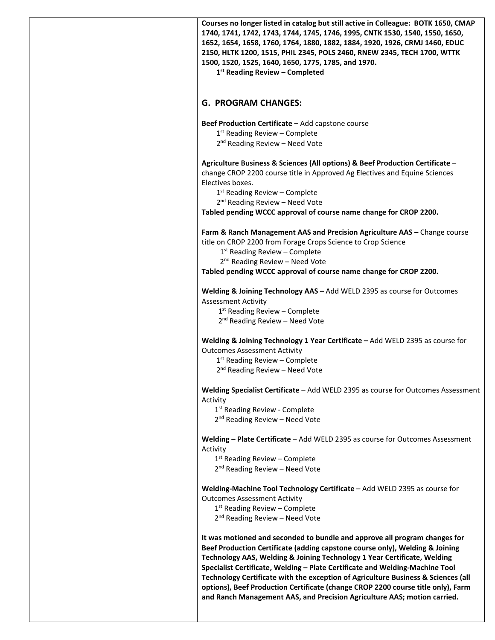| Courses no longer listed in catalog but still active in Colleague: BOTK 1650, CMAP<br>1740, 1741, 1742, 1743, 1744, 1745, 1746, 1995, CNTK 1530, 1540, 1550, 1650,<br>1652, 1654, 1658, 1760, 1764, 1880, 1882, 1884, 1920, 1926, CRMJ 1460, EDUC<br>2150, HLTK 1200, 1515, PHIL 2345, POLS 2460, RNEW 2345, TECH 1700, WTTK<br>1500, 1520, 1525, 1640, 1650, 1775, 1785, and 1970.<br>$1st$ Reading Review – Completed                                                                                                                                                     |
|-----------------------------------------------------------------------------------------------------------------------------------------------------------------------------------------------------------------------------------------------------------------------------------------------------------------------------------------------------------------------------------------------------------------------------------------------------------------------------------------------------------------------------------------------------------------------------|
| <b>G. PROGRAM CHANGES:</b>                                                                                                                                                                                                                                                                                                                                                                                                                                                                                                                                                  |
| Beef Production Certificate - Add capstone course<br>$1st$ Reading Review – Complete<br>2 <sup>nd</sup> Reading Review - Need Vote                                                                                                                                                                                                                                                                                                                                                                                                                                          |
| Agriculture Business & Sciences (All options) & Beef Production Certificate -<br>change CROP 2200 course title in Approved Ag Electives and Equine Sciences<br>Electives boxes.<br>$1st$ Reading Review – Complete<br>2 <sup>nd</sup> Reading Review - Need Vote                                                                                                                                                                                                                                                                                                            |
| Tabled pending WCCC approval of course name change for CROP 2200.                                                                                                                                                                                                                                                                                                                                                                                                                                                                                                           |
| Farm & Ranch Management AAS and Precision Agriculture AAS - Change course<br>title on CROP 2200 from Forage Crops Science to Crop Science<br>$1st$ Reading Review – Complete<br>2 <sup>nd</sup> Reading Review - Need Vote                                                                                                                                                                                                                                                                                                                                                  |
| Tabled pending WCCC approval of course name change for CROP 2200.                                                                                                                                                                                                                                                                                                                                                                                                                                                                                                           |
| Welding & Joining Technology AAS - Add WELD 2395 as course for Outcomes<br><b>Assessment Activity</b><br>$1st$ Reading Review – Complete<br>2 <sup>nd</sup> Reading Review - Need Vote                                                                                                                                                                                                                                                                                                                                                                                      |
| Welding & Joining Technology 1 Year Certificate - Add WELD 2395 as course for<br><b>Outcomes Assessment Activity</b><br>$1st$ Reading Review – Complete<br>2 <sup>nd</sup> Reading Review - Need Vote                                                                                                                                                                                                                                                                                                                                                                       |
| Welding Specialist Certificate - Add WELD 2395 as course for Outcomes Assessment<br>Activity<br>1 <sup>st</sup> Reading Review - Complete                                                                                                                                                                                                                                                                                                                                                                                                                                   |
| 2 <sup>nd</sup> Reading Review - Need Vote                                                                                                                                                                                                                                                                                                                                                                                                                                                                                                                                  |
| Welding - Plate Certificate - Add WELD 2395 as course for Outcomes Assessment<br>Activity                                                                                                                                                                                                                                                                                                                                                                                                                                                                                   |
| $1st$ Reading Review – Complete<br>2 <sup>nd</sup> Reading Review - Need Vote                                                                                                                                                                                                                                                                                                                                                                                                                                                                                               |
| Welding-Machine Tool Technology Certificate - Add WELD 2395 as course for<br><b>Outcomes Assessment Activity</b><br>$1st$ Reading Review – Complete<br>2 <sup>nd</sup> Reading Review - Need Vote                                                                                                                                                                                                                                                                                                                                                                           |
| It was motioned and seconded to bundle and approve all program changes for<br>Beef Production Certificate (adding capstone course only), Welding & Joining<br>Technology AAS, Welding & Joining Technology 1 Year Certificate, Welding<br>Specialist Certificate, Welding - Plate Certificate and Welding-Machine Tool<br>Technology Certificate with the exception of Agriculture Business & Sciences (all<br>options), Beef Production Certificate (change CROP 2200 course title only), Farm<br>and Ranch Management AAS, and Precision Agriculture AAS; motion carried. |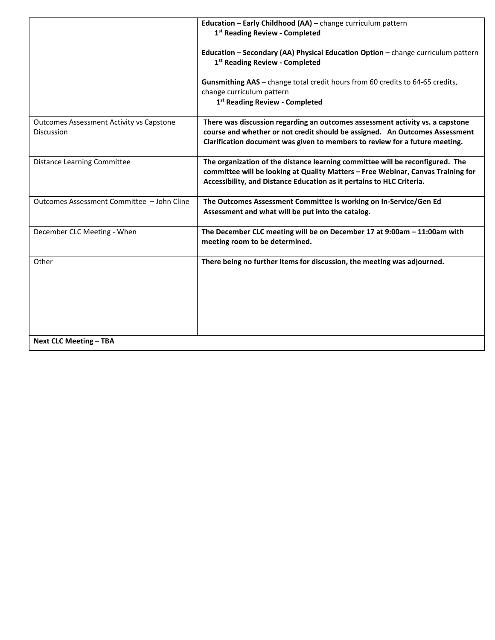|                                                                      | Education - Early Childhood (AA) - change curriculum pattern<br>1st Reading Review - Completed                                                                                                                                              |
|----------------------------------------------------------------------|---------------------------------------------------------------------------------------------------------------------------------------------------------------------------------------------------------------------------------------------|
|                                                                      | Education - Secondary (AA) Physical Education Option - change curriculum pattern<br>1 <sup>st</sup> Reading Review - Completed                                                                                                              |
|                                                                      | Gunsmithing AAS - change total credit hours from 60 credits to 64-65 credits,<br>change curriculum pattern<br>1st Reading Review - Completed                                                                                                |
| <b>Outcomes Assessment Activity vs Capstone</b><br><b>Discussion</b> | There was discussion regarding an outcomes assessment activity vs. a capstone<br>course and whether or not credit should be assigned. An Outcomes Assessment<br>Clarification document was given to members to review for a future meeting. |
| <b>Distance Learning Committee</b>                                   | The organization of the distance learning committee will be reconfigured. The<br>committee will be looking at Quality Matters - Free Webinar, Canvas Training for<br>Accessibility, and Distance Education as it pertains to HLC Criteria.  |
| Outcomes Assessment Committee - John Cline                           | The Outcomes Assessment Committee is working on In-Service/Gen Ed<br>Assessment and what will be put into the catalog.                                                                                                                      |
| December CLC Meeting - When                                          | The December CLC meeting will be on December 17 at 9:00am - 11:00am with<br>meeting room to be determined.                                                                                                                                  |
| Other                                                                | There being no further items for discussion, the meeting was adjourned.                                                                                                                                                                     |
| <b>Next CLC Meeting - TBA</b>                                        |                                                                                                                                                                                                                                             |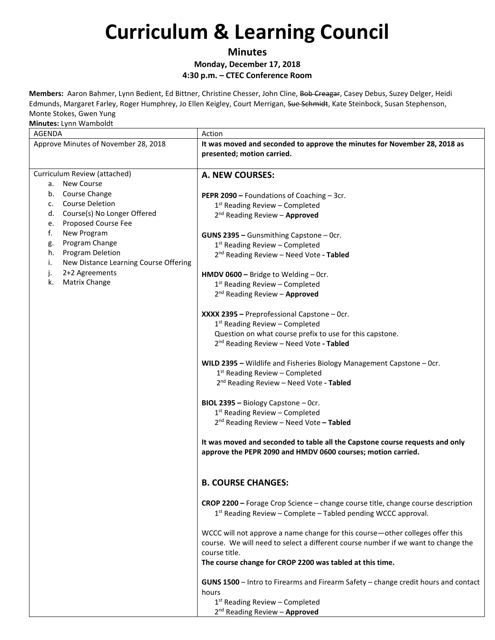**Minutes Monday, December 17, 2018 4:30 p.m. – CTEC Conference Room**

**Members:** Aaron Bahmer, Lynn Bedient, Ed Bittner, Christine Chesser, John Cline, Bob Creagar, Casey Debus, Suzey Delger, Heidi Edmunds, Margaret Farley, Roger Humphrey, Jo Ellen Keigley, Court Merrigan, Sue Schmidt, Kate Steinbock, Susan Stephenson, Monte Stokes, Gwen Yung

| <b>AGENDA</b>                               | Action                                                                                                                                            |
|---------------------------------------------|---------------------------------------------------------------------------------------------------------------------------------------------------|
| Approve Minutes of November 28, 2018        | It was moved and seconded to approve the minutes for November 28, 2018 as<br>presented; motion carried.                                           |
| Curriculum Review (attached)                | A. NEW COURSES:                                                                                                                                   |
| a. New Course                               |                                                                                                                                                   |
| b. Course Change<br><b>Course Deletion</b>  | PEPR 2090 - Foundations of Coaching - 3cr.                                                                                                        |
| c.<br>Course(s) No Longer Offered<br>d.     | $1st$ Reading Review – Completed                                                                                                                  |
| Proposed Course Fee<br>е.                   | 2 <sup>nd</sup> Reading Review - Approved                                                                                                         |
| f.<br>New Program                           | GUNS 2395 - Gunsmithing Capstone - Ocr.                                                                                                           |
| Program Change<br>g.                        | $1st$ Reading Review – Completed                                                                                                                  |
| h.<br><b>Program Deletion</b>               | 2 <sup>nd</sup> Reading Review - Need Vote - Tabled                                                                                               |
| New Distance Learning Course Offering<br>i. |                                                                                                                                                   |
| 2+2 Agreements<br>j.                        | HMDV 0600 - Bridge to Welding - Ocr.                                                                                                              |
| Matrix Change<br>k.                         | $1st$ Reading Review – Completed                                                                                                                  |
|                                             | 2 <sup>nd</sup> Reading Review - Approved                                                                                                         |
|                                             | XXXX 2395 - Preprofessional Capstone - Ocr.                                                                                                       |
|                                             | $1st$ Reading Review - Completed                                                                                                                  |
|                                             | Question on what course prefix to use for this capstone.                                                                                          |
|                                             | 2 <sup>nd</sup> Reading Review - Need Vote - Tabled                                                                                               |
|                                             | WILD 2395 - Wildlife and Fisheries Biology Management Capstone - Ocr.                                                                             |
|                                             | $1st$ Reading Review – Completed                                                                                                                  |
|                                             | 2 <sup>nd</sup> Reading Review - Need Vote - Tabled                                                                                               |
|                                             | BIOL 2395 - Biology Capstone - Ocr.                                                                                                               |
|                                             | $1st$ Reading Review - Completed                                                                                                                  |
|                                             | $2nd$ Reading Review – Need Vote – Tabled                                                                                                         |
|                                             | It was moved and seconded to table all the Capstone course requests and only<br>approve the PEPR 2090 and HMDV 0600 courses; motion carried.      |
|                                             | <b>B. COURSE CHANGES:</b>                                                                                                                         |
|                                             | CROP 2200 - Forage Crop Science - change course title, change course description<br>1st Reading Review - Complete - Tabled pending WCCC approval. |
|                                             | WCCC will not approve a name change for this course-other colleges offer this                                                                     |
|                                             | course. We will need to select a different course number if we want to change the<br>course title.                                                |
|                                             | The course change for CROP 2200 was tabled at this time.                                                                                          |
|                                             | GUNS 1500 - Intro to Firearms and Firearm Safety - change credit hours and contact                                                                |
|                                             | hours                                                                                                                                             |
|                                             | 1 <sup>st</sup> Reading Review - Completed<br>2 <sup>nd</sup> Reading Review - Approved                                                           |
|                                             |                                                                                                                                                   |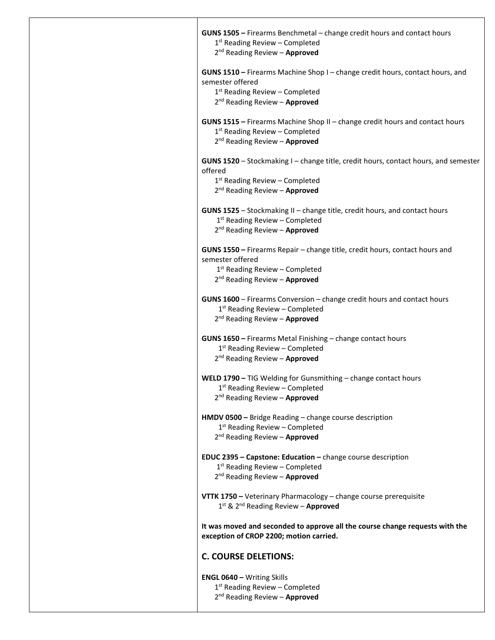| GUNS 1505 - Firearms Benchmetal - change credit hours and contact hours<br>1 <sup>st</sup> Reading Review - Completed                                                 |
|-----------------------------------------------------------------------------------------------------------------------------------------------------------------------|
| 2 <sup>nd</sup> Reading Review - Approved                                                                                                                             |
| GUNS 1510 - Firearms Machine Shop I - change credit hours, contact hours, and<br>semester offered                                                                     |
| $1st$ Reading Review – Completed<br>2 <sup>nd</sup> Reading Review - Approved                                                                                         |
| GUNS 1515 - Firearms Machine Shop II - change credit hours and contact hours<br>$1st$ Reading Review – Completed<br>2 <sup>nd</sup> Reading Review - Approved         |
| GUNS 1520 - Stockmaking I - change title, credit hours, contact hours, and semester<br>offered                                                                        |
| 1 <sup>st</sup> Reading Review - Completed<br>2 <sup>nd</sup> Reading Review - Approved                                                                               |
| GUNS 1525 - Stockmaking II - change title, credit hours, and contact hours<br>1 <sup>st</sup> Reading Review - Completed<br>2 <sup>nd</sup> Reading Review - Approved |
| GUNS 1550 - Firearms Repair - change title, credit hours, contact hours and<br>semester offered<br>$1st$ Reading Review - Completed                                   |
| 2 <sup>nd</sup> Reading Review - Approved                                                                                                                             |
| GUNS 1600 - Firearms Conversion - change credit hours and contact hours<br>$1st$ Reading Review – Completed<br>2 <sup>nd</sup> Reading Review - Approved              |
| GUNS 1650 - Firearms Metal Finishing - change contact hours<br>$1st$ Reading Review – Completed<br>2 <sup>nd</sup> Reading Review - Approved                          |
| <b>WELD 1790 - TIG Welding for Gunsmithing - change contact hours</b><br>$1st$ Reading Review – Completed<br>2 <sup>nd</sup> Reading Review - Approved                |
| HMDV 0500 - Bridge Reading - change course description<br>$1st$ Reading Review – Completed<br>2 <sup>nd</sup> Reading Review - Approved                               |
| EDUC 2395 - Capstone: Education - change course description<br>$1st$ Reading Review – Completed<br>2 <sup>nd</sup> Reading Review - Approved                          |
| VTTK 1750 - Veterinary Pharmacology - change course prerequisite<br>1st & 2 <sup>nd</sup> Reading Review - Approved                                                   |
| It was moved and seconded to approve all the course change requests with the<br>exception of CROP 2200; motion carried.                                               |
| <b>C. COURSE DELETIONS:</b>                                                                                                                                           |
| <b>ENGL 0640 - Writing Skills</b><br>$1st$ Reading Review - Completed<br>2 <sup>nd</sup> Reading Review - Approved                                                    |
|                                                                                                                                                                       |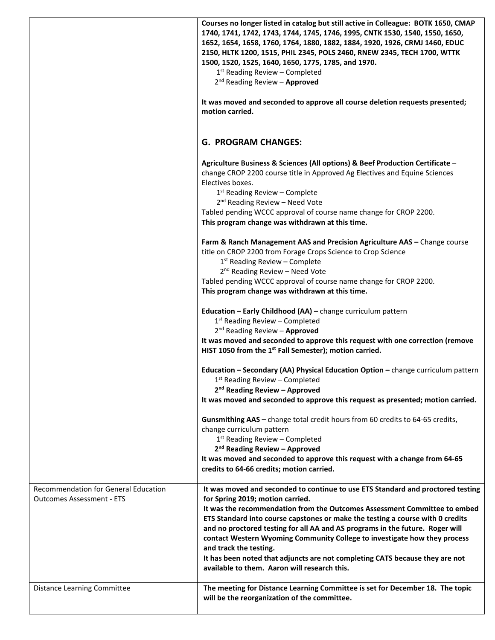|                                                                          | Courses no longer listed in catalog but still active in Colleague: BOTK 1650, CMAP<br>1740, 1741, 1742, 1743, 1744, 1745, 1746, 1995, CNTK 1530, 1540, 1550, 1650,<br>1652, 1654, 1658, 1760, 1764, 1880, 1882, 1884, 1920, 1926, CRMJ 1460, EDUC<br>2150, HLTK 1200, 1515, PHIL 2345, POLS 2460, RNEW 2345, TECH 1700, WTTK<br>1500, 1520, 1525, 1640, 1650, 1775, 1785, and 1970.<br>$1st$ Reading Review - Completed<br>$2^{nd}$ Reading Review - Approved<br>It was moved and seconded to approve all course deletion requests presented;<br>motion carried.                                           |
|--------------------------------------------------------------------------|------------------------------------------------------------------------------------------------------------------------------------------------------------------------------------------------------------------------------------------------------------------------------------------------------------------------------------------------------------------------------------------------------------------------------------------------------------------------------------------------------------------------------------------------------------------------------------------------------------|
|                                                                          | <b>G. PROGRAM CHANGES:</b>                                                                                                                                                                                                                                                                                                                                                                                                                                                                                                                                                                                 |
|                                                                          | Agriculture Business & Sciences (All options) & Beef Production Certificate -<br>change CROP 2200 course title in Approved Ag Electives and Equine Sciences<br>Electives boxes.<br>$1st$ Reading Review – Complete<br>2 <sup>nd</sup> Reading Review - Need Vote<br>Tabled pending WCCC approval of course name change for CROP 2200.                                                                                                                                                                                                                                                                      |
|                                                                          | This program change was withdrawn at this time.<br>Farm & Ranch Management AAS and Precision Agriculture AAS - Change course                                                                                                                                                                                                                                                                                                                                                                                                                                                                               |
|                                                                          | title on CROP 2200 from Forage Crops Science to Crop Science<br>1 <sup>st</sup> Reading Review - Complete<br>2 <sup>nd</sup> Reading Review - Need Vote                                                                                                                                                                                                                                                                                                                                                                                                                                                    |
|                                                                          | Tabled pending WCCC approval of course name change for CROP 2200.<br>This program change was withdrawn at this time.                                                                                                                                                                                                                                                                                                                                                                                                                                                                                       |
|                                                                          | Education - Early Childhood (AA) - change curriculum pattern<br>$1st$ Reading Review – Completed<br>2 <sup>nd</sup> Reading Review - Approved<br>It was moved and seconded to approve this request with one correction (remove<br>HIST 1050 from the 1 <sup>st</sup> Fall Semester); motion carried.                                                                                                                                                                                                                                                                                                       |
|                                                                          | Education - Secondary (AA) Physical Education Option - change curriculum pattern<br>$1st$ Reading Review – Completed<br>2 <sup>nd</sup> Reading Review - Approved<br>It was moved and seconded to approve this request as presented; motion carried.                                                                                                                                                                                                                                                                                                                                                       |
|                                                                          | Gunsmithing AAS - change total credit hours from 60 credits to 64-65 credits,<br>change curriculum pattern<br>1 <sup>st</sup> Reading Review - Completed<br>2 <sup>nd</sup> Reading Review - Approved                                                                                                                                                                                                                                                                                                                                                                                                      |
|                                                                          | It was moved and seconded to approve this request with a change from 64-65<br>credits to 64-66 credits; motion carried.                                                                                                                                                                                                                                                                                                                                                                                                                                                                                    |
| Recommendation for General Education<br><b>Outcomes Assessment - ETS</b> | It was moved and seconded to continue to use ETS Standard and proctored testing<br>for Spring 2019; motion carried.<br>It was the recommendation from the Outcomes Assessment Committee to embed<br>ETS Standard into course capstones or make the testing a course with 0 credits<br>and no proctored testing for all AA and AS programs in the future. Roger will<br>contact Western Wyoming Community College to investigate how they process<br>and track the testing.<br>It has been noted that adjuncts are not completing CATS because they are not<br>available to them. Aaron will research this. |
| <b>Distance Learning Committee</b>                                       | The meeting for Distance Learning Committee is set for December 18. The topic<br>will be the reorganization of the committee.                                                                                                                                                                                                                                                                                                                                                                                                                                                                              |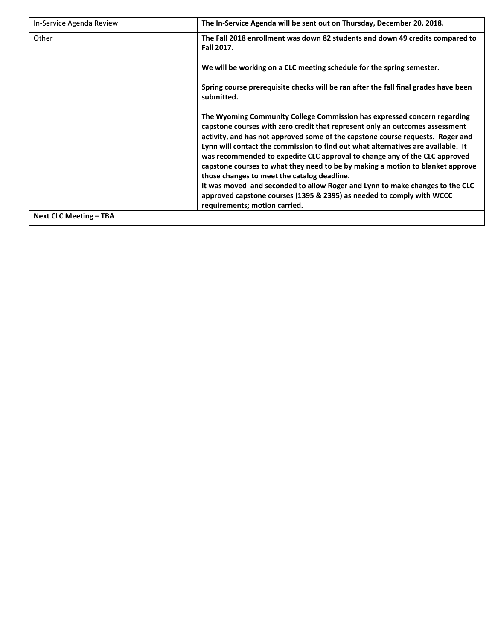| In-Service Agenda Review      | The In-Service Agenda will be sent out on Thursday, December 20, 2018.                                                                                                                                                                                                                                                                                                                                                                                                                                                                                                                                                                                                                                                                  |
|-------------------------------|-----------------------------------------------------------------------------------------------------------------------------------------------------------------------------------------------------------------------------------------------------------------------------------------------------------------------------------------------------------------------------------------------------------------------------------------------------------------------------------------------------------------------------------------------------------------------------------------------------------------------------------------------------------------------------------------------------------------------------------------|
| Other                         | The Fall 2018 enrollment was down 82 students and down 49 credits compared to<br><b>Fall 2017.</b>                                                                                                                                                                                                                                                                                                                                                                                                                                                                                                                                                                                                                                      |
|                               | We will be working on a CLC meeting schedule for the spring semester.                                                                                                                                                                                                                                                                                                                                                                                                                                                                                                                                                                                                                                                                   |
|                               | Spring course prerequisite checks will be ran after the fall final grades have been<br>submitted.                                                                                                                                                                                                                                                                                                                                                                                                                                                                                                                                                                                                                                       |
|                               | The Wyoming Community College Commission has expressed concern regarding<br>capstone courses with zero credit that represent only an outcomes assessment<br>activity, and has not approved some of the capstone course requests. Roger and<br>Lynn will contact the commission to find out what alternatives are available. It<br>was recommended to expedite CLC approval to change any of the CLC approved<br>capstone courses to what they need to be by making a motion to blanket approve<br>those changes to meet the catalog deadline.<br>It was moved and seconded to allow Roger and Lynn to make changes to the CLC<br>approved capstone courses (1395 & 2395) as needed to comply with WCCC<br>requirements; motion carried. |
| <b>Next CLC Meeting – TBA</b> |                                                                                                                                                                                                                                                                                                                                                                                                                                                                                                                                                                                                                                                                                                                                         |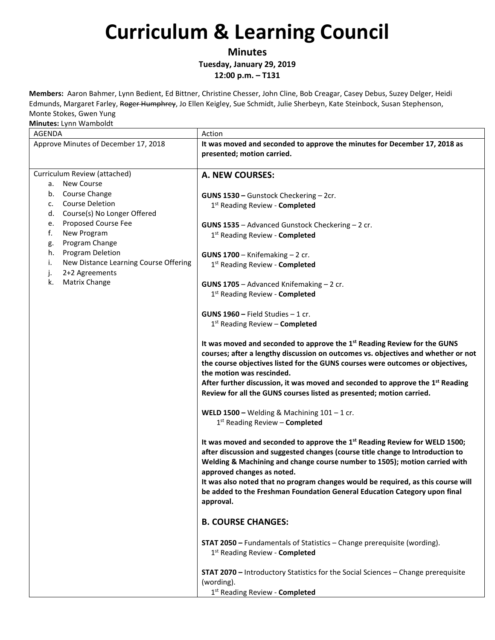**Minutes**

**Tuesday, January 29, 2019**

**12:00 p.m. – T131**

**Members:** Aaron Bahmer, Lynn Bedient, Ed Bittner, Christine Chesser, John Cline, Bob Creagar, Casey Debus, Suzey Delger, Heidi Edmunds, Margaret Farley, Roger Humphrey, Jo Ellen Keigley, Sue Schmidt, Julie Sherbeyn, Kate Steinbock, Susan Stephenson, Monte Stokes, Gwen Yung

| <b>AGENDA</b>                                                                                                                                                                                                                                                                                      | Action                                                                                                                                                                                                                                                                                                                                                                                                                                                             |
|----------------------------------------------------------------------------------------------------------------------------------------------------------------------------------------------------------------------------------------------------------------------------------------------------|--------------------------------------------------------------------------------------------------------------------------------------------------------------------------------------------------------------------------------------------------------------------------------------------------------------------------------------------------------------------------------------------------------------------------------------------------------------------|
| Approve Minutes of December 17, 2018                                                                                                                                                                                                                                                               | It was moved and seconded to approve the minutes for December 17, 2018 as<br>presented; motion carried.                                                                                                                                                                                                                                                                                                                                                            |
|                                                                                                                                                                                                                                                                                                    |                                                                                                                                                                                                                                                                                                                                                                                                                                                                    |
| Curriculum Review (attached)<br>a. New Course                                                                                                                                                                                                                                                      | A. NEW COURSES:                                                                                                                                                                                                                                                                                                                                                                                                                                                    |
| b. Course Change<br><b>Course Deletion</b><br>c.<br>d. Course(s) No Longer Offered<br><b>Proposed Course Fee</b><br>е.<br>f.<br>New Program<br>Program Change<br>g.<br>h.<br><b>Program Deletion</b><br>New Distance Learning Course Offering<br>i.<br>2+2 Agreements<br>j.<br>Matrix Change<br>k. | GUNS 1530 - Gunstock Checkering - 2cr.<br>1 <sup>st</sup> Reading Review - <b>Completed</b><br>GUNS 1535 - Advanced Gunstock Checkering - 2 cr.<br>1st Reading Review - Completed<br>GUNS $1700 -$ Knifemaking $-2$ cr.<br>1st Reading Review - Completed<br>GUNS 1705 - Advanced Knifemaking - 2 cr.<br>1 <sup>st</sup> Reading Review - <b>Completed</b>                                                                                                         |
|                                                                                                                                                                                                                                                                                                    | <b>GUNS 1960 - Field Studies - 1 cr.</b><br>1st Reading Review - Completed                                                                                                                                                                                                                                                                                                                                                                                         |
|                                                                                                                                                                                                                                                                                                    | It was moved and seconded to approve the 1 <sup>st</sup> Reading Review for the GUNS<br>courses; after a lengthy discussion on outcomes vs. objectives and whether or not<br>the course objectives listed for the GUNS courses were outcomes or objectives,<br>the motion was rescinded.<br>After further discussion, it was moved and seconded to approve the $1st$ Reading<br>Review for all the GUNS courses listed as presented; motion carried.               |
|                                                                                                                                                                                                                                                                                                    | WELD 1500 - Welding & Machining $101 - 1$ cr.<br>1st Reading Review - Completed                                                                                                                                                                                                                                                                                                                                                                                    |
|                                                                                                                                                                                                                                                                                                    | It was moved and seconded to approve the 1 <sup>st</sup> Reading Review for WELD 1500;<br>after discussion and suggested changes (course title change to Introduction to<br>Welding & Machining and change course number to 1505); motion carried with<br>approved changes as noted.<br>It was also noted that no program changes would be required, as this course will<br>be added to the Freshman Foundation General Education Category upon final<br>approval. |
|                                                                                                                                                                                                                                                                                                    | <b>B. COURSE CHANGES:</b>                                                                                                                                                                                                                                                                                                                                                                                                                                          |
|                                                                                                                                                                                                                                                                                                    | <b>STAT 2050</b> - Fundamentals of Statistics - Change prerequisite (wording).<br>1 <sup>st</sup> Reading Review - Completed                                                                                                                                                                                                                                                                                                                                       |
|                                                                                                                                                                                                                                                                                                    | STAT 2070 - Introductory Statistics for the Social Sciences - Change prerequisite<br>(wording).<br>1st Reading Review - Completed                                                                                                                                                                                                                                                                                                                                  |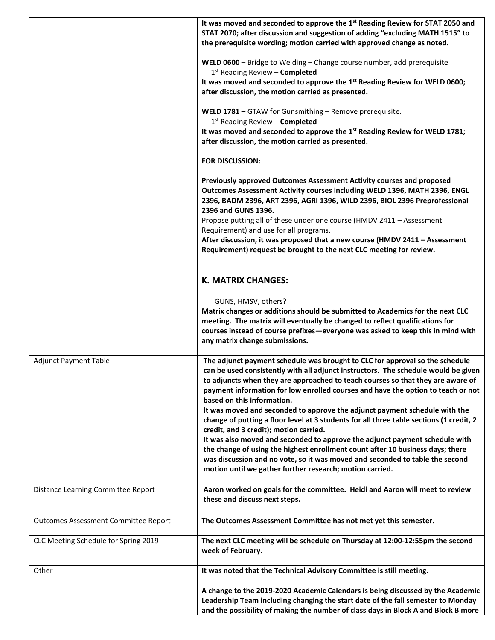|                                             | It was moved and seconded to approve the 1 <sup>st</sup> Reading Review for STAT 2050 and<br>STAT 2070; after discussion and suggestion of adding "excluding MATH 1515" to<br>the prerequisite wording; motion carried with approved change as noted.                                                                            |
|---------------------------------------------|----------------------------------------------------------------------------------------------------------------------------------------------------------------------------------------------------------------------------------------------------------------------------------------------------------------------------------|
|                                             | WELD 0600 - Bridge to Welding - Change course number, add prerequisite<br>1st Reading Review - Completed                                                                                                                                                                                                                         |
|                                             | It was moved and seconded to approve the 1 <sup>st</sup> Reading Review for WELD 0600;<br>after discussion, the motion carried as presented.                                                                                                                                                                                     |
|                                             | WELD 1781 - GTAW for Gunsmithing - Remove prerequisite.<br>$1st$ Reading Review – Completed                                                                                                                                                                                                                                      |
|                                             | It was moved and seconded to approve the 1 <sup>st</sup> Reading Review for WELD 1781;<br>after discussion, the motion carried as presented.                                                                                                                                                                                     |
|                                             | <b>FOR DISCUSSION:</b>                                                                                                                                                                                                                                                                                                           |
|                                             | Previously approved Outcomes Assessment Activity courses and proposed<br>Outcomes Assessment Activity courses including WELD 1396, MATH 2396, ENGL<br>2396, BADM 2396, ART 2396, AGRI 1396, WILD 2396, BIOL 2396 Preprofessional<br>2396 and GUNS 1396.<br>Propose putting all of these under one course (HMDV 2411 - Assessment |
|                                             | Requirement) and use for all programs.                                                                                                                                                                                                                                                                                           |
|                                             | After discussion, it was proposed that a new course (HMDV 2411 - Assessment<br>Requirement) request be brought to the next CLC meeting for review.                                                                                                                                                                               |
|                                             | <b>K. MATRIX CHANGES:</b>                                                                                                                                                                                                                                                                                                        |
|                                             | GUNS, HMSV, others?                                                                                                                                                                                                                                                                                                              |
|                                             | Matrix changes or additions should be submitted to Academics for the next CLC<br>meeting. The matrix will eventually be changed to reflect qualifications for<br>courses instead of course prefixes-everyone was asked to keep this in mind with<br>any matrix change submissions.                                               |
| <b>Adjunct Payment Table</b>                | The adjunct payment schedule was brought to CLC for approval so the schedule                                                                                                                                                                                                                                                     |
|                                             | can be used consistently with all adjunct instructors. The schedule would be given<br>to adjuncts when they are approached to teach courses so that they are aware of<br>payment information for low enrolled courses and have the option to teach or not<br>based on this information.                                          |
|                                             | It was moved and seconded to approve the adjunct payment schedule with the<br>change of putting a floor level at 3 students for all three table sections (1 credit, 2<br>credit, and 3 credit); motion carried.                                                                                                                  |
|                                             | It was also moved and seconded to approve the adjunct payment schedule with                                                                                                                                                                                                                                                      |
|                                             | the change of using the highest enrollment count after 10 business days; there<br>was discussion and no vote, so it was moved and seconded to table the second<br>motion until we gather further research; motion carried.                                                                                                       |
| Distance Learning Committee Report          | Aaron worked on goals for the committee. Heidi and Aaron will meet to review<br>these and discuss next steps.                                                                                                                                                                                                                    |
| <b>Outcomes Assessment Committee Report</b> | The Outcomes Assessment Committee has not met yet this semester.                                                                                                                                                                                                                                                                 |
| CLC Meeting Schedule for Spring 2019        | The next CLC meeting will be schedule on Thursday at 12:00-12:55pm the second<br>week of February.                                                                                                                                                                                                                               |
| Other                                       | It was noted that the Technical Advisory Committee is still meeting.                                                                                                                                                                                                                                                             |
|                                             | A change to the 2019-2020 Academic Calendars is being discussed by the Academic                                                                                                                                                                                                                                                  |
|                                             | Leadership Team including changing the start date of the fall semester to Monday<br>and the possibility of making the number of class days in Block A and Block B more                                                                                                                                                           |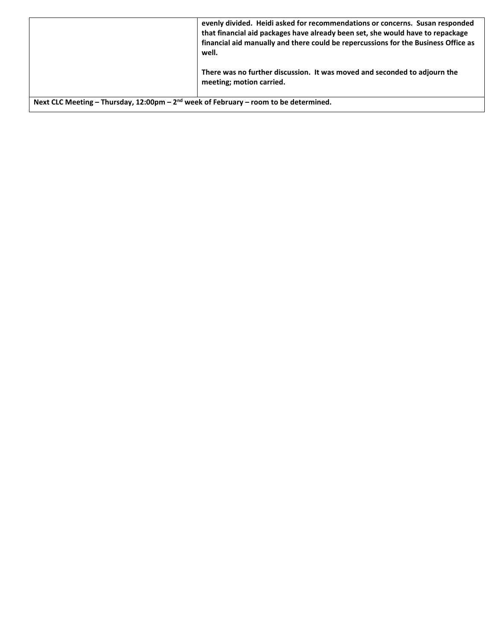|                                                                                        | evenly divided. Heidi asked for recommendations or concerns. Susan responded<br>that financial aid packages have already been set, she would have to repackage<br>financial aid manually and there could be repercussions for the Business Office as<br>well. |
|----------------------------------------------------------------------------------------|---------------------------------------------------------------------------------------------------------------------------------------------------------------------------------------------------------------------------------------------------------------|
|                                                                                        | There was no further discussion. It was moved and seconded to adjourn the<br>meeting; motion carried.                                                                                                                                                         |
| Next CLC Meeting – Thursday, 12:00pm – $2nd$ week of February – room to be determined. |                                                                                                                                                                                                                                                               |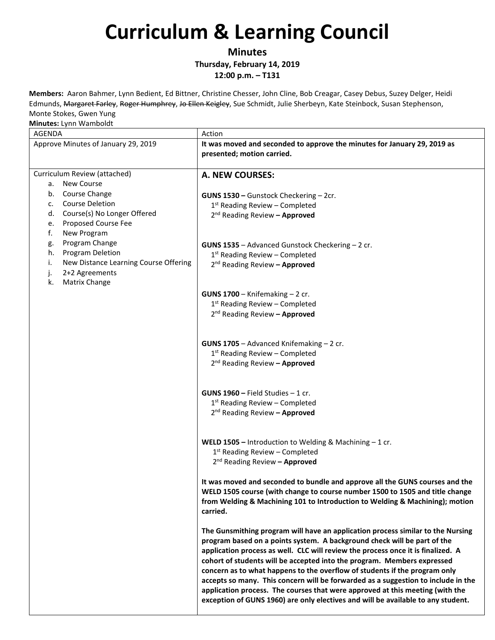**Minutes**

**Thursday, February 14, 2019**

**12:00 p.m. – T131**

**Members:** Aaron Bahmer, Lynn Bedient, Ed Bittner, Christine Chesser, John Cline, Bob Creagar, Casey Debus, Suzey Delger, Heidi Edmunds, Margaret Farley, Roger Humphrey, Jo Ellen Keigley, Sue Schmidt, Julie Sherbeyn, Kate Steinbock, Susan Stephenson, Monte Stokes, Gwen Yung

| $1.1.01$ . $1.1.11$ . $1.011$ . $1.001$ . $1.001$<br>AGENDA                                                                                  | Action                                                                                                                                                                                                                                                                                                                                                                                                                                                                                                                                                                                                                                                             |
|----------------------------------------------------------------------------------------------------------------------------------------------|--------------------------------------------------------------------------------------------------------------------------------------------------------------------------------------------------------------------------------------------------------------------------------------------------------------------------------------------------------------------------------------------------------------------------------------------------------------------------------------------------------------------------------------------------------------------------------------------------------------------------------------------------------------------|
| Approve Minutes of January 29, 2019                                                                                                          | It was moved and seconded to approve the minutes for January 29, 2019 as<br>presented; motion carried.                                                                                                                                                                                                                                                                                                                                                                                                                                                                                                                                                             |
| Curriculum Review (attached)<br><b>New Course</b><br>а.                                                                                      | A. NEW COURSES:                                                                                                                                                                                                                                                                                                                                                                                                                                                                                                                                                                                                                                                    |
| b. Course Change<br><b>Course Deletion</b><br>c.<br>Course(s) No Longer Offered<br>d.<br>Proposed Course Fee<br>e.<br>f.<br>New Program      | GUNS 1530 - Gunstock Checkering - 2cr.<br>$1st$ Reading Review – Completed<br>2 <sup>nd</sup> Reading Review - Approved                                                                                                                                                                                                                                                                                                                                                                                                                                                                                                                                            |
| Program Change<br>g.<br>Program Deletion<br>h.<br>i.<br>New Distance Learning Course Offering<br>2+2 Agreements<br>j.<br>Matrix Change<br>k. | GUNS 1535 - Advanced Gunstock Checkering - 2 cr.<br>$1st$ Reading Review – Completed<br>2 <sup>nd</sup> Reading Review - Approved                                                                                                                                                                                                                                                                                                                                                                                                                                                                                                                                  |
|                                                                                                                                              | GUNS $1700 -$ Knifemaking $-2$ cr.<br>$1st$ Reading Review – Completed<br>2 <sup>nd</sup> Reading Review - Approved                                                                                                                                                                                                                                                                                                                                                                                                                                                                                                                                                |
|                                                                                                                                              | GUNS 1705 - Advanced Knifemaking - 2 cr.<br>$1st$ Reading Review – Completed<br>2 <sup>nd</sup> Reading Review - Approved                                                                                                                                                                                                                                                                                                                                                                                                                                                                                                                                          |
|                                                                                                                                              | <b>GUNS 1960 - Field Studies - 1 cr.</b><br>$1st$ Reading Review – Completed<br>2 <sup>nd</sup> Reading Review - Approved                                                                                                                                                                                                                                                                                                                                                                                                                                                                                                                                          |
|                                                                                                                                              | <b>WELD 1505</b> - Introduction to Welding & Machining $-1$ cr.<br>$1st$ Reading Review – Completed<br>2 <sup>nd</sup> Reading Review - Approved                                                                                                                                                                                                                                                                                                                                                                                                                                                                                                                   |
|                                                                                                                                              | It was moved and seconded to bundle and approve all the GUNS courses and the<br>WELD 1505 course (with change to course number 1500 to 1505 and title change<br>from Welding & Machining 101 to Introduction to Welding & Machining); motion<br>carried.                                                                                                                                                                                                                                                                                                                                                                                                           |
|                                                                                                                                              | The Gunsmithing program will have an application process similar to the Nursing<br>program based on a points system. A background check will be part of the<br>application process as well. CLC will review the process once it is finalized. A<br>cohort of students will be accepted into the program. Members expressed<br>concern as to what happens to the overflow of students if the program only<br>accepts so many. This concern will be forwarded as a suggestion to include in the<br>application process. The courses that were approved at this meeting (with the<br>exception of GUNS 1960) are only electives and will be available to any student. |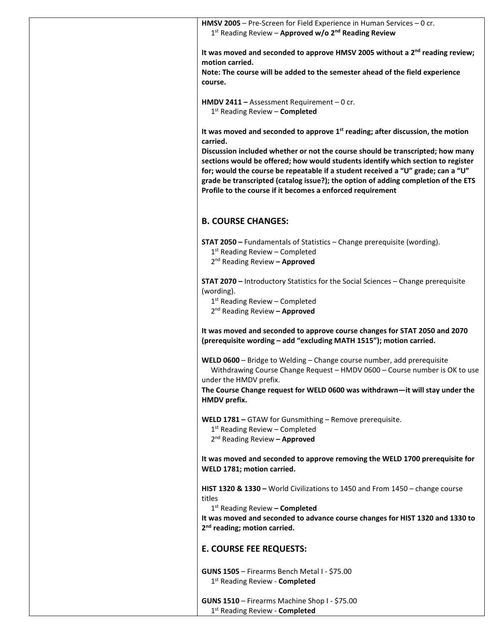|                                               | HMSV 2005 - Pre-Screen for Field Experience in Human Services - 0 cr.<br>1st Reading Review - Approved w/o 2 <sup>nd</sup> Reading Review         |                                                                                                                                                                    |
|-----------------------------------------------|---------------------------------------------------------------------------------------------------------------------------------------------------|--------------------------------------------------------------------------------------------------------------------------------------------------------------------|
| motion carried.                               |                                                                                                                                                   | It was moved and seconded to approve HMSV 2005 without a 2 <sup>nd</sup> reading review;                                                                           |
| course.                                       | Note: The course will be added to the semester ahead of the field experience                                                                      |                                                                                                                                                                    |
|                                               | HMDV 2411 - Assessment Requirement - 0 cr.<br>1st Reading Review - Completed                                                                      |                                                                                                                                                                    |
| carried.                                      | It was moved and seconded to approve 1 <sup>st</sup> reading; after discussion, the motion                                                        |                                                                                                                                                                    |
|                                               |                                                                                                                                                   | Discussion included whether or not the course should be transcripted; how many<br>sections would be offered; how would students identify which section to register |
|                                               | for; would the course be repeatable if a student received a "U" grade; can a "U"<br>Profile to the course if it becomes a enforced requirement    | grade be transcripted (catalog issue?); the option of adding completion of the ETS                                                                                 |
| <b>B. COURSE CHANGES:</b>                     |                                                                                                                                                   |                                                                                                                                                                    |
|                                               | <b>STAT 2050</b> – Fundamentals of Statistics – Change prerequisite (wording).                                                                    |                                                                                                                                                                    |
|                                               | $1st$ Reading Review – Completed<br>2 <sup>nd</sup> Reading Review - Approved                                                                     |                                                                                                                                                                    |
|                                               | <b>STAT 2070</b> - Introductory Statistics for the Social Sciences - Change prerequisite                                                          |                                                                                                                                                                    |
| (wording).                                    | $1st$ Reading Review – Completed<br>2 <sup>nd</sup> Reading Review - Approved                                                                     |                                                                                                                                                                    |
|                                               | It was moved and seconded to approve course changes for STAT 2050 and 2070<br>(prerequisite wording - add "excluding MATH 1515"); motion carried. |                                                                                                                                                                    |
|                                               | WELD 0600 - Bridge to Welding - Change course number, add prerequisite                                                                            | Withdrawing Course Change Request - HMDV 0600 - Course number is OK to use                                                                                         |
| under the HMDV prefix.<br><b>HMDV</b> prefix. |                                                                                                                                                   | The Course Change request for WELD 0600 was withdrawn-it will stay under the                                                                                       |
|                                               | WELD 1781 - GTAW for Gunsmithing - Remove prerequisite.                                                                                           |                                                                                                                                                                    |
|                                               | $1st$ Reading Review – Completed<br>2 <sup>nd</sup> Reading Review - Approved                                                                     |                                                                                                                                                                    |
| WELD 1781; motion carried.                    |                                                                                                                                                   | It was moved and seconded to approve removing the WELD 1700 prerequisite for                                                                                       |
| titles                                        | HIST 1320 & 1330 - World Civilizations to 1450 and From 1450 - change course                                                                      |                                                                                                                                                                    |
|                                               | 1 <sup>st</sup> Reading Review - Completed                                                                                                        | It was moved and seconded to advance course changes for HIST 1320 and 1330 to                                                                                      |
| 2 <sup>nd</sup> reading; motion carried.      |                                                                                                                                                   |                                                                                                                                                                    |
| <b>E. COURSE FEE REQUESTS:</b>                |                                                                                                                                                   |                                                                                                                                                                    |
|                                               | <b>GUNS 1505</b> - Firearms Bench Metal I - \$75.00<br>1st Reading Review - Completed                                                             |                                                                                                                                                                    |
|                                               | GUNS 1510 - Firearms Machine Shop I - \$75.00<br>1st Reading Review - Completed                                                                   |                                                                                                                                                                    |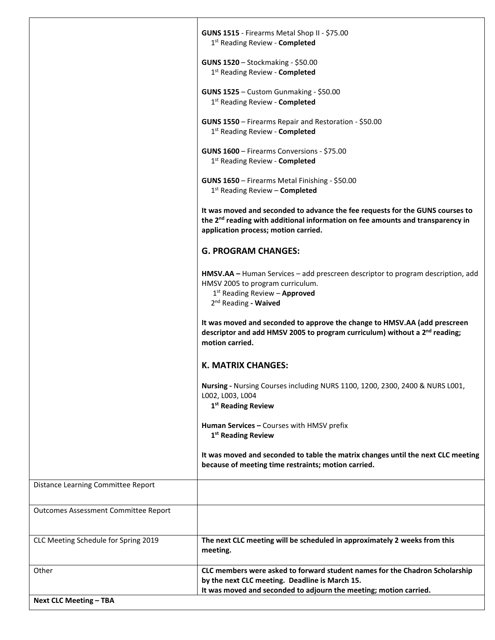|                                             | GUNS 1515 - Firearms Metal Shop II - \$75.00<br>1 <sup>st</sup> Reading Review - Completed                                                                                                                          |
|---------------------------------------------|---------------------------------------------------------------------------------------------------------------------------------------------------------------------------------------------------------------------|
|                                             | GUNS 1520 - Stockmaking - \$50.00<br>1st Reading Review - Completed                                                                                                                                                 |
|                                             | <b>GUNS 1525</b> - Custom Gunmaking - \$50.00<br>1st Reading Review - Completed                                                                                                                                     |
|                                             | GUNS 1550 - Firearms Repair and Restoration - \$50.00<br>1st Reading Review - Completed                                                                                                                             |
|                                             | GUNS 1600 - Firearms Conversions - \$75.00<br>1st Reading Review - Completed                                                                                                                                        |
|                                             | GUNS 1650 - Firearms Metal Finishing - \$50.00<br>$1st$ Reading Review – Completed                                                                                                                                  |
|                                             | It was moved and seconded to advance the fee requests for the GUNS courses to<br>the 2 <sup>nd</sup> reading with additional information on fee amounts and transparency in<br>application process; motion carried. |
|                                             | <b>G. PROGRAM CHANGES:</b>                                                                                                                                                                                          |
|                                             | HMSV.AA - Human Services - add prescreen descriptor to program description, add<br>HMSV 2005 to program curriculum.<br>1st Reading Review - Approved<br>2 <sup>nd</sup> Reading - Waived                            |
|                                             | It was moved and seconded to approve the change to HMSV.AA (add prescreen<br>descriptor and add HMSV 2005 to program curriculum) without a 2 <sup>nd</sup> reading;<br>motion carried.                              |
|                                             | K. MATRIX CHANGES:                                                                                                                                                                                                  |
|                                             | Nursing - Nursing Courses including NURS 1100, 1200, 2300, 2400 & NURS L001,<br>L002, L003, L004<br>1 <sup>st</sup> Reading Review                                                                                  |
|                                             | Human Services - Courses with HMSV prefix<br>1 <sup>st</sup> Reading Review                                                                                                                                         |
|                                             | It was moved and seconded to table the matrix changes until the next CLC meeting<br>because of meeting time restraints; motion carried.                                                                             |
| Distance Learning Committee Report          |                                                                                                                                                                                                                     |
| <b>Outcomes Assessment Committee Report</b> |                                                                                                                                                                                                                     |
| CLC Meeting Schedule for Spring 2019        | The next CLC meeting will be scheduled in approximately 2 weeks from this<br>meeting.                                                                                                                               |
| Other                                       | CLC members were asked to forward student names for the Chadron Scholarship<br>by the next CLC meeting. Deadline is March 15.<br>It was moved and seconded to adjourn the meeting; motion carried.                  |
| <b>Next CLC Meeting - TBA</b>               |                                                                                                                                                                                                                     |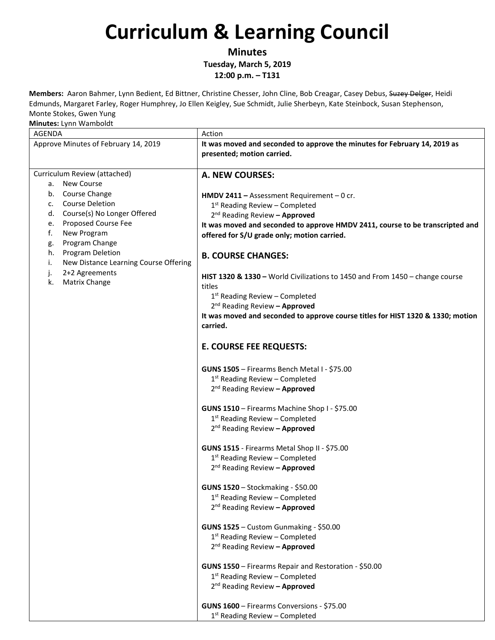**Minutes**

**Tuesday, March 5, 2019**

**12:00 p.m. – T131**

**Members:** Aaron Bahmer, Lynn Bedient, Ed Bittner, Christine Chesser, John Cline, Bob Creagar, Casey Debus, Suzey Delger, Heidi Edmunds, Margaret Farley, Roger Humphrey, Jo Ellen Keigley, Sue Schmidt, Julie Sherbeyn, Kate Steinbock, Susan Stephenson, Monte Stokes, Gwen Yung

| <br><b>AGENDA</b>                           | Action                                                                          |
|---------------------------------------------|---------------------------------------------------------------------------------|
| Approve Minutes of February 14, 2019        | It was moved and seconded to approve the minutes for February 14, 2019 as       |
|                                             | presented; motion carried.                                                      |
|                                             |                                                                                 |
| Curriculum Review (attached)                | A. NEW COURSES:                                                                 |
| a. New Course                               |                                                                                 |
| b. Course Change                            |                                                                                 |
| <b>Course Deletion</b><br>c.                | HMDV 2411 - Assessment Requirement - 0 cr.                                      |
| Course(s) No Longer Offered<br>d.           | $1st$ Reading Review – Completed                                                |
| <b>Proposed Course Fee</b><br>e.            | 2 <sup>nd</sup> Reading Review - Approved                                       |
| f.<br>New Program                           | It was moved and seconded to approve HMDV 2411, course to be transcripted and   |
| Program Change<br>g.                        | offered for S/U grade only; motion carried.                                     |
| Program Deletion<br>h.                      |                                                                                 |
| New Distance Learning Course Offering<br>i. | <b>B. COURSE CHANGES:</b>                                                       |
| 2+2 Agreements<br>j.                        |                                                                                 |
| Matrix Change<br>k.                         | HIST 1320 & 1330 - World Civilizations to 1450 and From 1450 - change course    |
|                                             | titles                                                                          |
|                                             | 1 <sup>st</sup> Reading Review - Completed                                      |
|                                             | 2 <sup>nd</sup> Reading Review - Approved                                       |
|                                             | It was moved and seconded to approve course titles for HIST 1320 & 1330; motion |
|                                             | carried.                                                                        |
|                                             |                                                                                 |
|                                             | <b>E. COURSE FEE REQUESTS:</b>                                                  |
|                                             |                                                                                 |
|                                             | GUNS 1505 - Firearms Bench Metal I - \$75.00                                    |
|                                             | $1st$ Reading Review – Completed                                                |
|                                             | 2 <sup>nd</sup> Reading Review - Approved                                       |
|                                             |                                                                                 |
|                                             | GUNS 1510 - Firearms Machine Shop I - \$75.00                                   |
|                                             | $1st$ Reading Review – Completed                                                |
|                                             | 2 <sup>nd</sup> Reading Review - Approved                                       |
|                                             | GUNS 1515 - Firearms Metal Shop II - \$75.00                                    |
|                                             | 1 <sup>st</sup> Reading Review - Completed                                      |
|                                             | 2 <sup>nd</sup> Reading Review - Approved                                       |
|                                             |                                                                                 |
|                                             | GUNS 1520 - Stockmaking - \$50.00                                               |
|                                             | 1 <sup>st</sup> Reading Review - Completed                                      |
|                                             | 2 <sup>nd</sup> Reading Review - Approved                                       |
|                                             |                                                                                 |
|                                             | GUNS 1525 - Custom Gunmaking - \$50.00                                          |
|                                             | 1st Reading Review - Completed                                                  |
|                                             | 2 <sup>nd</sup> Reading Review - Approved                                       |
|                                             |                                                                                 |
|                                             | GUNS 1550 - Firearms Repair and Restoration - \$50.00                           |
|                                             | $1st$ Reading Review – Completed                                                |
|                                             | 2 <sup>nd</sup> Reading Review - Approved                                       |
|                                             |                                                                                 |
|                                             | GUNS 1600 - Firearms Conversions - \$75.00                                      |
|                                             | 1 <sup>st</sup> Reading Review - Completed                                      |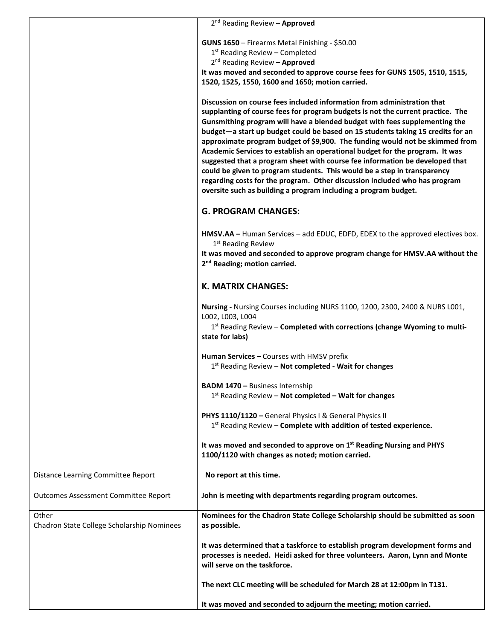|                                             | 2 <sup>nd</sup> Reading Review - Approved                                                                                                                                                                                                                                                                                                                                                                                                                                                                                                                    |
|---------------------------------------------|--------------------------------------------------------------------------------------------------------------------------------------------------------------------------------------------------------------------------------------------------------------------------------------------------------------------------------------------------------------------------------------------------------------------------------------------------------------------------------------------------------------------------------------------------------------|
|                                             |                                                                                                                                                                                                                                                                                                                                                                                                                                                                                                                                                              |
|                                             | GUNS 1650 - Firearms Metal Finishing - \$50.00                                                                                                                                                                                                                                                                                                                                                                                                                                                                                                               |
|                                             | $1st$ Reading Review – Completed                                                                                                                                                                                                                                                                                                                                                                                                                                                                                                                             |
|                                             | $2^{nd}$ Reading Review - Approved                                                                                                                                                                                                                                                                                                                                                                                                                                                                                                                           |
|                                             | It was moved and seconded to approve course fees for GUNS 1505, 1510, 1515,                                                                                                                                                                                                                                                                                                                                                                                                                                                                                  |
|                                             | 1520, 1525, 1550, 1600 and 1650; motion carried.                                                                                                                                                                                                                                                                                                                                                                                                                                                                                                             |
|                                             | Discussion on course fees included information from administration that<br>supplanting of course fees for program budgets is not the current practice. The<br>Gunsmithing program will have a blended budget with fees supplementing the                                                                                                                                                                                                                                                                                                                     |
|                                             | budget-a start up budget could be based on 15 students taking 15 credits for an<br>approximate program budget of \$9,900. The funding would not be skimmed from<br>Academic Services to establish an operational budget for the program. It was<br>suggested that a program sheet with course fee information be developed that<br>could be given to program students. This would be a step in transparency<br>regarding costs for the program. Other discussion included who has program<br>oversite such as building a program including a program budget. |
|                                             | <b>G. PROGRAM CHANGES:</b>                                                                                                                                                                                                                                                                                                                                                                                                                                                                                                                                   |
|                                             | HMSV.AA - Human Services - add EDUC, EDFD, EDEX to the approved electives box.<br>1 <sup>st</sup> Reading Review                                                                                                                                                                                                                                                                                                                                                                                                                                             |
|                                             | It was moved and seconded to approve program change for HMSV.AA without the<br>2 <sup>nd</sup> Reading; motion carried.                                                                                                                                                                                                                                                                                                                                                                                                                                      |
|                                             | <b>K. MATRIX CHANGES:</b>                                                                                                                                                                                                                                                                                                                                                                                                                                                                                                                                    |
|                                             | Nursing - Nursing Courses including NURS 1100, 1200, 2300, 2400 & NURS L001,<br>L002, L003, L004                                                                                                                                                                                                                                                                                                                                                                                                                                                             |
|                                             | $1st$ Reading Review – Completed with corrections (change Wyoming to multi-<br>state for labs)                                                                                                                                                                                                                                                                                                                                                                                                                                                               |
|                                             | Human Services - Courses with HMSV prefix                                                                                                                                                                                                                                                                                                                                                                                                                                                                                                                    |
|                                             | $1st$ Reading Review – Not completed - Wait for changes                                                                                                                                                                                                                                                                                                                                                                                                                                                                                                      |
|                                             | <b>BADM 1470 - Business Internship</b>                                                                                                                                                                                                                                                                                                                                                                                                                                                                                                                       |
|                                             | $1st$ Reading Review – Not completed – Wait for changes                                                                                                                                                                                                                                                                                                                                                                                                                                                                                                      |
|                                             |                                                                                                                                                                                                                                                                                                                                                                                                                                                                                                                                                              |
|                                             | PHYS 1110/1120 - General Physics I & General Physics II<br>$1st$ Reading Review – Complete with addition of tested experience.                                                                                                                                                                                                                                                                                                                                                                                                                               |
|                                             | It was moved and seconded to approve on 1 <sup>st</sup> Reading Nursing and PHYS<br>1100/1120 with changes as noted; motion carried.                                                                                                                                                                                                                                                                                                                                                                                                                         |
| Distance Learning Committee Report          | No report at this time.                                                                                                                                                                                                                                                                                                                                                                                                                                                                                                                                      |
| <b>Outcomes Assessment Committee Report</b> | John is meeting with departments regarding program outcomes.                                                                                                                                                                                                                                                                                                                                                                                                                                                                                                 |
| Other                                       | Nominees for the Chadron State College Scholarship should be submitted as soon                                                                                                                                                                                                                                                                                                                                                                                                                                                                               |
| Chadron State College Scholarship Nominees  | as possible.                                                                                                                                                                                                                                                                                                                                                                                                                                                                                                                                                 |
|                                             | It was determined that a taskforce to establish program development forms and                                                                                                                                                                                                                                                                                                                                                                                                                                                                                |
|                                             | processes is needed. Heidi asked for three volunteers. Aaron, Lynn and Monte                                                                                                                                                                                                                                                                                                                                                                                                                                                                                 |
|                                             | will serve on the taskforce.                                                                                                                                                                                                                                                                                                                                                                                                                                                                                                                                 |
|                                             |                                                                                                                                                                                                                                                                                                                                                                                                                                                                                                                                                              |
|                                             | The next CLC meeting will be scheduled for March 28 at 12:00pm in T131.                                                                                                                                                                                                                                                                                                                                                                                                                                                                                      |
|                                             | It was moved and seconded to adjourn the meeting; motion carried.                                                                                                                                                                                                                                                                                                                                                                                                                                                                                            |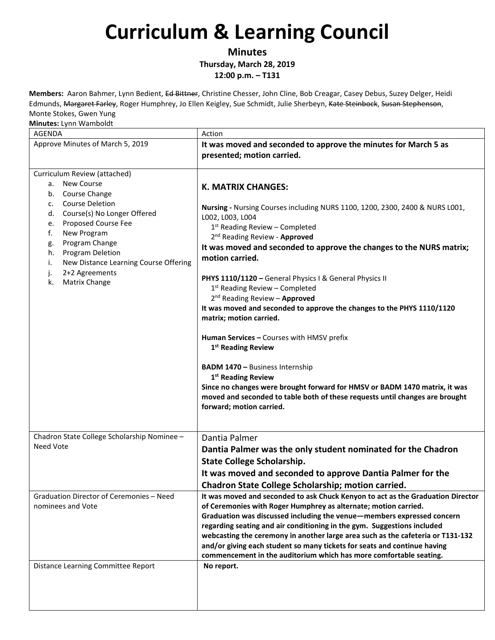**Minutes**

**Thursday, March 28, 2019**

**12:00 p.m. – T131**

**Members:** Aaron Bahmer, Lynn Bedient, Ed Bittner, Christine Chesser, John Cline, Bob Creagar, Casey Debus, Suzey Delger, Heidi Edmunds, Margaret Farley, Roger Humphrey, Jo Ellen Keigley, Sue Schmidt, Julie Sherbeyn, Kate Steinbock, Susan Stephenson, Monte Stokes, Gwen Yung

| וטווווענכא. בפווור וועסוווועו<br>AGENDA                                                                                                                                                                                                                                                                                                            | Action                                                                                                                                                                                                                                                                                                                                                                                                                                                                                                                                                                                                                                                                                                                                                                                                                                                                                                                  |
|----------------------------------------------------------------------------------------------------------------------------------------------------------------------------------------------------------------------------------------------------------------------------------------------------------------------------------------------------|-------------------------------------------------------------------------------------------------------------------------------------------------------------------------------------------------------------------------------------------------------------------------------------------------------------------------------------------------------------------------------------------------------------------------------------------------------------------------------------------------------------------------------------------------------------------------------------------------------------------------------------------------------------------------------------------------------------------------------------------------------------------------------------------------------------------------------------------------------------------------------------------------------------------------|
| Approve Minutes of March 5, 2019                                                                                                                                                                                                                                                                                                                   | It was moved and seconded to approve the minutes for March 5 as<br>presented; motion carried.                                                                                                                                                                                                                                                                                                                                                                                                                                                                                                                                                                                                                                                                                                                                                                                                                           |
| Curriculum Review (attached)<br><b>New Course</b><br>а.<br>b. Course Change<br><b>Course Deletion</b><br>c.<br>Course(s) No Longer Offered<br>d.<br>Proposed Course Fee<br>e.<br>New Program<br>f.<br>Program Change<br>g.<br>Program Deletion<br>h.<br>New Distance Learning Course Offering<br>i.<br>2+2 Agreements<br>j.<br>Matrix Change<br>k. | <b>K. MATRIX CHANGES:</b><br>Nursing - Nursing Courses including NURS 1100, 1200, 2300, 2400 & NURS L001,<br>L002, L003, L004<br>1 <sup>st</sup> Reading Review - Completed<br>2 <sup>nd</sup> Reading Review - Approved<br>It was moved and seconded to approve the changes to the NURS matrix;<br>motion carried.<br>PHYS 1110/1120 - General Physics I & General Physics II<br>1st Reading Review - Completed<br>2 <sup>nd</sup> Reading Review - Approved<br>It was moved and seconded to approve the changes to the PHYS 1110/1120<br>matrix; motion carried.<br>Human Services - Courses with HMSV prefix<br>1 <sup>st</sup> Reading Review<br><b>BADM 1470 - Business Internship</b><br>1 <sup>st</sup> Reading Review<br>Since no changes were brought forward for HMSV or BADM 1470 matrix, it was<br>moved and seconded to table both of these requests until changes are brought<br>forward; motion carried. |
| Chadron State College Scholarship Nominee -<br><b>Need Vote</b><br>Graduation Director of Ceremonies - Need<br>nominees and Vote                                                                                                                                                                                                                   | Dantia Palmer<br>Dantia Palmer was the only student nominated for the Chadron<br><b>State College Scholarship.</b><br>It was moved and seconded to approve Dantia Palmer for the<br>Chadron State College Scholarship; motion carried.<br>It was moved and seconded to ask Chuck Kenyon to act as the Graduation Director<br>of Ceremonies with Roger Humphrey as alternate; motion carried.<br>Graduation was discussed including the venue-members expressed concern<br>regarding seating and air conditioning in the gym. Suggestions included                                                                                                                                                                                                                                                                                                                                                                       |
| Distance Learning Committee Report                                                                                                                                                                                                                                                                                                                 | webcasting the ceremony in another large area such as the cafeteria or T131-132<br>and/or giving each student so many tickets for seats and continue having<br>commencement in the auditorium which has more comfortable seating.<br>No report.                                                                                                                                                                                                                                                                                                                                                                                                                                                                                                                                                                                                                                                                         |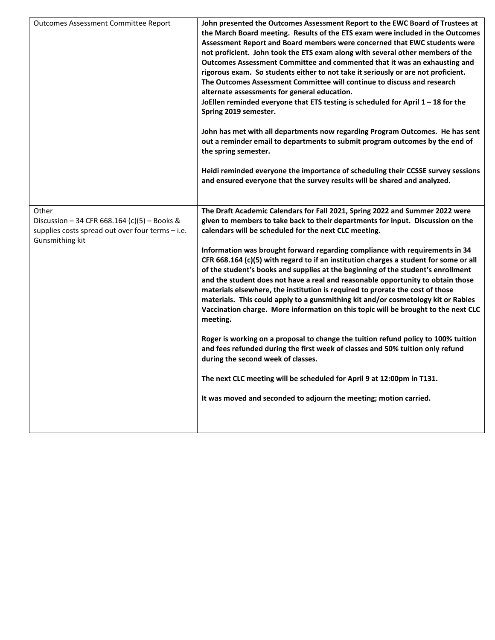| <b>Outcomes Assessment Committee Report</b>                                                                                  | John presented the Outcomes Assessment Report to the EWC Board of Trustees at<br>the March Board meeting. Results of the ETS exam were included in the Outcomes<br>Assessment Report and Board members were concerned that EWC students were<br>not proficient. John took the ETS exam along with several other members of the<br>Outcomes Assessment Committee and commented that it was an exhausting and<br>rigorous exam. So students either to not take it seriously or are not proficient.<br>The Outcomes Assessment Committee will continue to discuss and research<br>alternate assessments for general education.<br>JoEllen reminded everyone that ETS testing is scheduled for April 1 - 18 for the<br>Spring 2019 semester.<br>John has met with all departments now regarding Program Outcomes. He has sent<br>out a reminder email to departments to submit program outcomes by the end of<br>the spring semester.<br>Heidi reminded everyone the importance of scheduling their CCSSE survey sessions<br>and ensured everyone that the survey results will be shared and analyzed. |
|------------------------------------------------------------------------------------------------------------------------------|----------------------------------------------------------------------------------------------------------------------------------------------------------------------------------------------------------------------------------------------------------------------------------------------------------------------------------------------------------------------------------------------------------------------------------------------------------------------------------------------------------------------------------------------------------------------------------------------------------------------------------------------------------------------------------------------------------------------------------------------------------------------------------------------------------------------------------------------------------------------------------------------------------------------------------------------------------------------------------------------------------------------------------------------------------------------------------------------------|
|                                                                                                                              |                                                                                                                                                                                                                                                                                                                                                                                                                                                                                                                                                                                                                                                                                                                                                                                                                                                                                                                                                                                                                                                                                                    |
| Other<br>Discussion - 34 CFR 668.164 (c)(5) - Books &<br>supplies costs spread out over four terms - i.e.<br>Gunsmithing kit | The Draft Academic Calendars for Fall 2021, Spring 2022 and Summer 2022 were<br>given to members to take back to their departments for input. Discussion on the<br>calendars will be scheduled for the next CLC meeting.                                                                                                                                                                                                                                                                                                                                                                                                                                                                                                                                                                                                                                                                                                                                                                                                                                                                           |
|                                                                                                                              | Information was brought forward regarding compliance with requirements in 34<br>CFR 668.164 (c)(5) with regard to if an institution charges a student for some or all<br>of the student's books and supplies at the beginning of the student's enrollment<br>and the student does not have a real and reasonable opportunity to obtain those<br>materials elsewhere, the institution is required to prorate the cost of those<br>materials. This could apply to a gunsmithing kit and/or cosmetology kit or Rabies<br>Vaccination charge. More information on this topic will be brought to the next CLC<br>meeting.                                                                                                                                                                                                                                                                                                                                                                                                                                                                               |
|                                                                                                                              | Roger is working on a proposal to change the tuition refund policy to 100% tuition<br>and fees refunded during the first week of classes and 50% tuition only refund<br>during the second week of classes.                                                                                                                                                                                                                                                                                                                                                                                                                                                                                                                                                                                                                                                                                                                                                                                                                                                                                         |
|                                                                                                                              | The next CLC meeting will be scheduled for April 9 at 12:00pm in T131.                                                                                                                                                                                                                                                                                                                                                                                                                                                                                                                                                                                                                                                                                                                                                                                                                                                                                                                                                                                                                             |
|                                                                                                                              | It was moved and seconded to adjourn the meeting; motion carried.                                                                                                                                                                                                                                                                                                                                                                                                                                                                                                                                                                                                                                                                                                                                                                                                                                                                                                                                                                                                                                  |
|                                                                                                                              |                                                                                                                                                                                                                                                                                                                                                                                                                                                                                                                                                                                                                                                                                                                                                                                                                                                                                                                                                                                                                                                                                                    |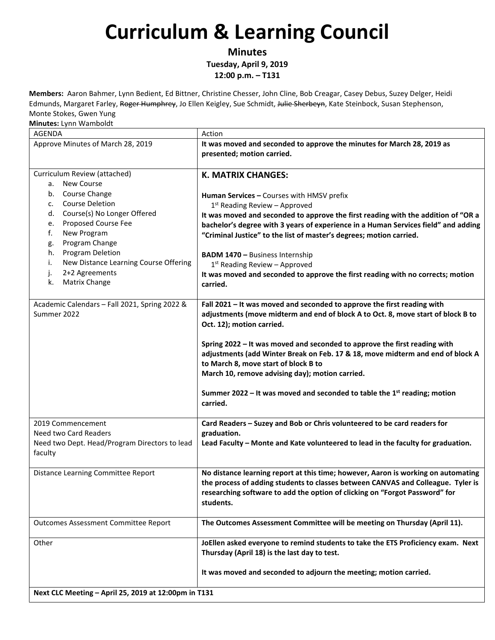**Minutes**

**Tuesday, April 9, 2019 12:00 p.m. – T131**

**Members:** Aaron Bahmer, Lynn Bedient, Ed Bittner, Christine Chesser, John Cline, Bob Creagar, Casey Debus, Suzey Delger, Heidi Edmunds, Margaret Farley, Roger Humphrey, Jo Ellen Keigley, Sue Schmidt, Julie Sherbeyn, Kate Steinbock, Susan Stephenson, Monte Stokes, Gwen Yung

| AGENDA                                                                                                                                                                                                                                                                                                                                             | Action                                                                                                                                                                                                                                                                                                                                                                                                                                                                                                                                       |  |
|----------------------------------------------------------------------------------------------------------------------------------------------------------------------------------------------------------------------------------------------------------------------------------------------------------------------------------------------------|----------------------------------------------------------------------------------------------------------------------------------------------------------------------------------------------------------------------------------------------------------------------------------------------------------------------------------------------------------------------------------------------------------------------------------------------------------------------------------------------------------------------------------------------|--|
| Approve Minutes of March 28, 2019                                                                                                                                                                                                                                                                                                                  | It was moved and seconded to approve the minutes for March 28, 2019 as<br>presented; motion carried.                                                                                                                                                                                                                                                                                                                                                                                                                                         |  |
| Curriculum Review (attached)<br>a. New Course<br>Course Change<br>b.<br><b>Course Deletion</b><br>C.<br>Course(s) No Longer Offered<br>d.<br>Proposed Course Fee<br>e.<br>New Program<br>f.<br>Program Change<br>g.<br>Program Deletion<br>h.<br>New Distance Learning Course Offering<br>i.<br>2+2 Agreements<br>j.<br><b>Matrix Change</b><br>k. | <b>K. MATRIX CHANGES:</b><br>Human Services - Courses with HMSV prefix<br>$1st$ Reading Review - Approved<br>It was moved and seconded to approve the first reading with the addition of "OR a<br>bachelor's degree with 3 years of experience in a Human Services field" and adding<br>"Criminal Justice" to the list of master's degrees; motion carried.<br><b>BADM 1470 - Business Internship</b><br>$1st$ Reading Review - Approved<br>It was moved and seconded to approve the first reading with no corrects; motion<br>carried.      |  |
| Academic Calendars - Fall 2021, Spring 2022 &<br>Summer 2022                                                                                                                                                                                                                                                                                       | Fall 2021 - It was moved and seconded to approve the first reading with<br>adjustments (move midterm and end of block A to Oct. 8, move start of block B to<br>Oct. 12); motion carried.<br>Spring 2022 - It was moved and seconded to approve the first reading with<br>adjustments (add Winter Break on Feb. 17 & 18, move midterm and end of block A<br>to March 8, move start of block B to<br>March 10, remove advising day); motion carried.<br>Summer 2022 – It was moved and seconded to table the $1st$ reading; motion<br>carried. |  |
| 2019 Commencement<br>Need two Card Readers<br>Need two Dept. Head/Program Directors to lead<br>faculty                                                                                                                                                                                                                                             | Card Readers - Suzey and Bob or Chris volunteered to be card readers for<br>graduation.<br>Lead Faculty - Monte and Kate volunteered to lead in the faculty for graduation.                                                                                                                                                                                                                                                                                                                                                                  |  |
| Distance Learning Committee Report                                                                                                                                                                                                                                                                                                                 | No distance learning report at this time; however, Aaron is working on automating<br>the process of adding students to classes between CANVAS and Colleague. Tyler is<br>researching software to add the option of clicking on "Forgot Password" for<br>students.                                                                                                                                                                                                                                                                            |  |
| <b>Outcomes Assessment Committee Report</b>                                                                                                                                                                                                                                                                                                        | The Outcomes Assessment Committee will be meeting on Thursday (April 11).                                                                                                                                                                                                                                                                                                                                                                                                                                                                    |  |
| Other                                                                                                                                                                                                                                                                                                                                              | JoEllen asked everyone to remind students to take the ETS Proficiency exam. Next<br>Thursday (April 18) is the last day to test.<br>It was moved and seconded to adjourn the meeting; motion carried.                                                                                                                                                                                                                                                                                                                                        |  |
| Next CLC Meeting - April 25, 2019 at 12:00pm in T131                                                                                                                                                                                                                                                                                               |                                                                                                                                                                                                                                                                                                                                                                                                                                                                                                                                              |  |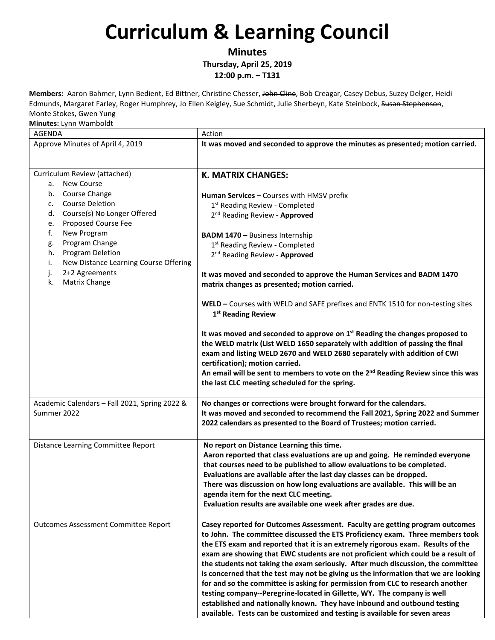**Minutes**

**Thursday, April 25, 2019 12:00 p.m. – T131**

**Members:** Aaron Bahmer, Lynn Bedient, Ed Bittner, Christine Chesser, John Cline, Bob Creagar, Casey Debus, Suzey Delger, Heidi Edmunds, Margaret Farley, Roger Humphrey, Jo Ellen Keigley, Sue Schmidt, Julie Sherbeyn, Kate Steinbock, Susan Stephenson, Monte Stokes, Gwen Yung

| <b>AGENDA</b>                                    | Action                                                                                                           |
|--------------------------------------------------|------------------------------------------------------------------------------------------------------------------|
| Approve Minutes of April 4, 2019                 | It was moved and seconded to approve the minutes as presented; motion carried.                                   |
|                                                  |                                                                                                                  |
|                                                  |                                                                                                                  |
| Curriculum Review (attached)<br>New Course<br>a. | <b>K. MATRIX CHANGES:</b>                                                                                        |
| Course Change<br>b.                              |                                                                                                                  |
| <b>Course Deletion</b><br>c.                     | Human Services - Courses with HMSV prefix<br>1 <sup>st</sup> Reading Review - Completed                          |
| Course(s) No Longer Offered<br>d.                | 2 <sup>nd</sup> Reading Review - Approved                                                                        |
| Proposed Course Fee<br>e.                        |                                                                                                                  |
| f.<br>New Program                                | <b>BADM 1470 - Business Internship</b>                                                                           |
| Program Change<br>g.                             | 1st Reading Review - Completed                                                                                   |
| Program Deletion<br>h.                           | 2 <sup>nd</sup> Reading Review - Approved                                                                        |
| New Distance Learning Course Offering<br>i.      |                                                                                                                  |
| 2+2 Agreements<br>j.                             | It was moved and seconded to approve the Human Services and BADM 1470                                            |
| Matrix Change<br>k.                              | matrix changes as presented; motion carried.                                                                     |
|                                                  |                                                                                                                  |
|                                                  | WELD - Courses with WELD and SAFE prefixes and ENTK 1510 for non-testing sites<br>1 <sup>st</sup> Reading Review |
|                                                  |                                                                                                                  |
|                                                  | It was moved and seconded to approve on 1 <sup>st</sup> Reading the changes proposed to                          |
|                                                  | the WELD matrix (List WELD 1650 separately with addition of passing the final                                    |
|                                                  | exam and listing WELD 2670 and WELD 2680 separately with addition of CWI                                         |
|                                                  | certification); motion carried.                                                                                  |
|                                                  | An email will be sent to members to vote on the 2 <sup>nd</sup> Reading Review since this was                    |
|                                                  | the last CLC meeting scheduled for the spring.                                                                   |
| Academic Calendars - Fall 2021, Spring 2022 &    | No changes or corrections were brought forward for the calendars.                                                |
| Summer 2022                                      | It was moved and seconded to recommend the Fall 2021, Spring 2022 and Summer                                     |
|                                                  | 2022 calendars as presented to the Board of Trustees; motion carried.                                            |
|                                                  |                                                                                                                  |
| Distance Learning Committee Report               | No report on Distance Learning this time.                                                                        |
|                                                  | Aaron reported that class evaluations are up and going. He reminded everyone                                     |
|                                                  | that courses need to be published to allow evaluations to be completed.                                          |
|                                                  | Evaluations are available after the last day classes can be dropped.                                             |
|                                                  | There was discussion on how long evaluations are available. This will be an                                      |
|                                                  | agenda item for the next CLC meeting.                                                                            |
|                                                  | Evaluation results are available one week after grades are due.                                                  |
| <b>Outcomes Assessment Committee Report</b>      | Casey reported for Outcomes Assessment. Faculty are getting program outcomes                                     |
|                                                  | to John. The committee discussed the ETS Proficiency exam. Three members took                                    |
|                                                  | the ETS exam and reported that it is an extremely rigorous exam. Results of the                                  |
|                                                  | exam are showing that EWC students are not proficient which could be a result of                                 |
|                                                  | the students not taking the exam seriously. After much discussion, the committee                                 |
|                                                  | is concerned that the test may not be giving us the information that we are looking                              |
|                                                  | for and so the committee is asking for permission from CLC to research another                                   |
|                                                  | testing company--Peregrine-located in Gillette, WY. The company is well                                          |
|                                                  | established and nationally known. They have inbound and outbound testing                                         |
|                                                  | available. Tests can be customized and testing is available for seven areas                                      |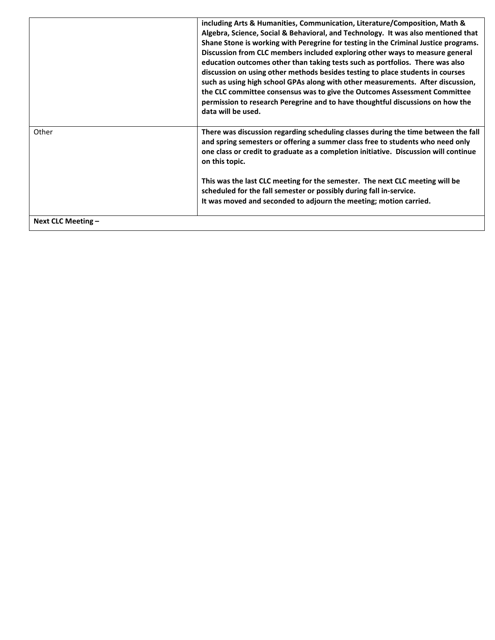|                      | including Arts & Humanities, Communication, Literature/Composition, Math &<br>Algebra, Science, Social & Behavioral, and Technology. It was also mentioned that<br>Shane Stone is working with Peregrine for testing in the Criminal Justice programs.<br>Discussion from CLC members included exploring other ways to measure general<br>education outcomes other than taking tests such as portfolios. There was also<br>discussion on using other methods besides testing to place students in courses<br>such as using high school GPAs along with other measurements. After discussion,<br>the CLC committee consensus was to give the Outcomes Assessment Committee<br>permission to research Peregrine and to have thoughtful discussions on how the<br>data will be used. |
|----------------------|-----------------------------------------------------------------------------------------------------------------------------------------------------------------------------------------------------------------------------------------------------------------------------------------------------------------------------------------------------------------------------------------------------------------------------------------------------------------------------------------------------------------------------------------------------------------------------------------------------------------------------------------------------------------------------------------------------------------------------------------------------------------------------------|
| Other                | There was discussion regarding scheduling classes during the time between the fall<br>and spring semesters or offering a summer class free to students who need only<br>one class or credit to graduate as a completion initiative. Discussion will continue<br>on this topic.<br>This was the last CLC meeting for the semester. The next CLC meeting will be<br>scheduled for the fall semester or possibly during fall in-service.<br>It was moved and seconded to adjourn the meeting; motion carried.                                                                                                                                                                                                                                                                        |
| Next CLC Meeting $-$ |                                                                                                                                                                                                                                                                                                                                                                                                                                                                                                                                                                                                                                                                                                                                                                                   |